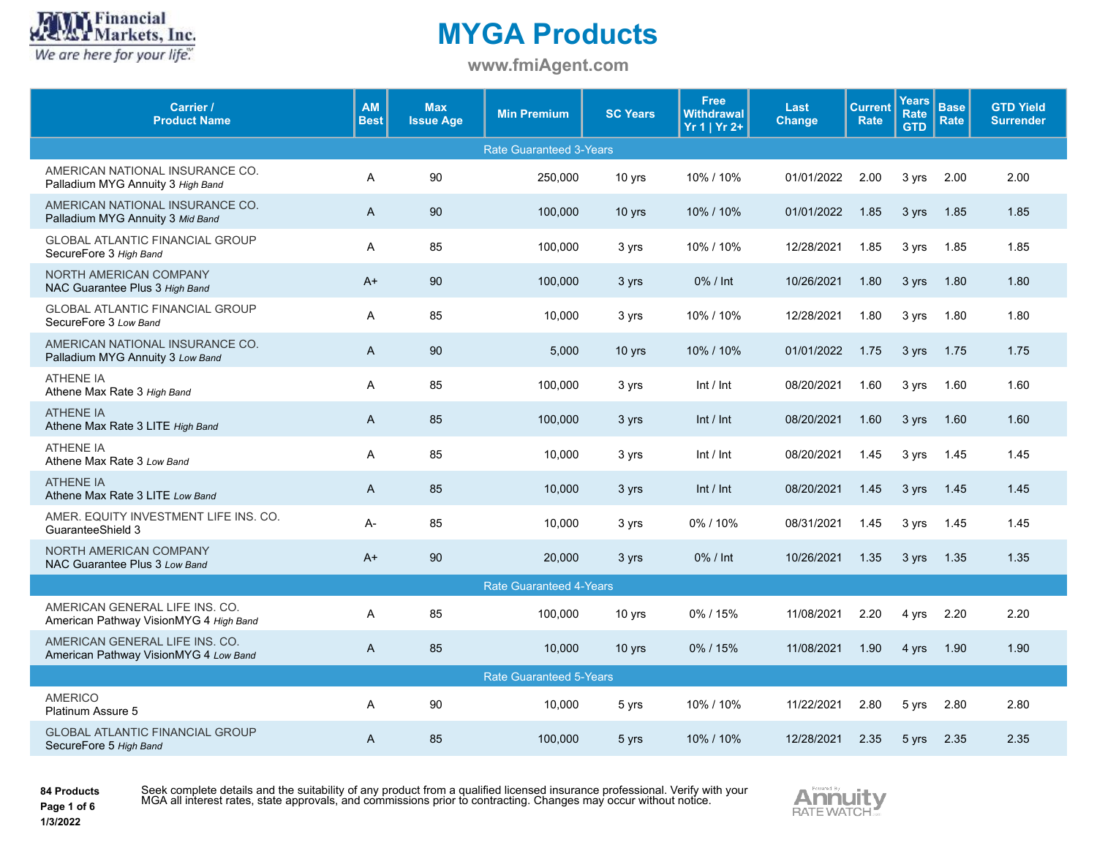

**www.fmiAgent.com**

| Carrier /<br><b>Product Name</b>                                         | <b>AM</b><br><b>Best</b> | <b>Max</b><br><b>Issue Age</b> | <b>Min Premium</b>             | <b>SC Years</b> | <b>Free</b><br><b>Withdrawal</b><br>$Yr 1   Yr 2+$ | Last<br>Change | <b>Current</b><br><b>Rate</b> | <b>Years</b><br>Rate<br><b>GTD</b> | <b>Base</b><br>Rate | <b>GTD Yield</b><br><b>Surrender</b> |
|--------------------------------------------------------------------------|--------------------------|--------------------------------|--------------------------------|-----------------|----------------------------------------------------|----------------|-------------------------------|------------------------------------|---------------------|--------------------------------------|
|                                                                          |                          |                                | <b>Rate Guaranteed 3-Years</b> |                 |                                                    |                |                               |                                    |                     |                                      |
| AMERICAN NATIONAL INSURANCE CO.<br>Palladium MYG Annuity 3 High Band     | A                        | 90                             | 250,000                        | 10 yrs          | 10% / 10%                                          | 01/01/2022     | 2.00                          | 3 yrs                              | 2.00                | 2.00                                 |
| AMERICAN NATIONAL INSURANCE CO.<br>Palladium MYG Annuity 3 Mid Band      | A                        | 90                             | 100,000                        | 10 yrs          | 10% / 10%                                          | 01/01/2022     | 1.85                          | 3 yrs                              | 1.85                | 1.85                                 |
| <b>GLOBAL ATLANTIC FINANCIAL GROUP</b><br>SecureFore 3 High Band         | Α                        | 85                             | 100,000                        | 3 yrs           | 10% / 10%                                          | 12/28/2021     | 1.85                          | 3 yrs                              | 1.85                | 1.85                                 |
| <b>NORTH AMERICAN COMPANY</b><br>NAC Guarantee Plus 3 High Band          | $A+$                     | 90                             | 100,000                        | 3 yrs           | 0% / Int                                           | 10/26/2021     | 1.80                          | 3 yrs                              | 1.80                | 1.80                                 |
| <b>GLOBAL ATLANTIC FINANCIAL GROUP</b><br>SecureFore 3 Low Band          | A                        | 85                             | 10,000                         | 3 yrs           | 10% / 10%<br>12/28/2021                            |                | 1.80                          | 3 yrs                              | 1.80                | 1.80                                 |
| AMERICAN NATIONAL INSURANCE CO.<br>Palladium MYG Annuity 3 Low Band      | A                        | 90                             | 5,000                          | 10 yrs          | 10% / 10%                                          | 01/01/2022     |                               | 3 yrs                              | 1.75                | 1.75                                 |
| <b>ATHENE IA</b><br>Athene Max Rate 3 High Band                          | A                        | 85                             | 100,000                        | 3 yrs           | Int / Int                                          | 08/20/2021     |                               | 3 yrs                              | 1.60                | 1.60                                 |
| <b>ATHENE IA</b><br>Athene Max Rate 3 LITE High Band                     | A                        | 85                             | 100,000                        | 3 yrs           | Int / Int                                          | 08/20/2021     | 1.60                          | 3 yrs                              | 1.60                | 1.60                                 |
| <b>ATHENE IA</b><br>Athene Max Rate 3 Low Band                           | A                        | 85                             | 10.000                         | 3 yrs           | Int / Int                                          | 08/20/2021     | 1.45                          | 3 yrs                              | 1.45                | 1.45                                 |
| <b>ATHENE IA</b><br>Athene Max Rate 3 LITE Low Band                      | A                        | 85                             | 10,000                         | 3 yrs           | Int / Int                                          | 08/20/2021     | 1.45                          | 3 yrs                              | 1.45                | 1.45                                 |
| AMER. EQUITY INVESTMENT LIFE INS. CO.<br>GuaranteeShield 3               | $A -$                    | 85                             | 10.000                         | 3 yrs           | 0%/10%                                             | 08/31/2021     | 1.45                          | 3 yrs                              | 1.45                | 1.45                                 |
| <b>NORTH AMERICAN COMPANY</b><br>NAC Guarantee Plus 3 Low Band           | $A+$                     | 90                             | 20,000                         | 3 yrs           | $0\%$ / Int                                        | 10/26/2021     | 1.35                          | 3 yrs                              | 1.35                | 1.35                                 |
|                                                                          |                          |                                | <b>Rate Guaranteed 4-Years</b> |                 |                                                    |                |                               |                                    |                     |                                      |
| AMERICAN GENERAL LIFE INS. CO.<br>American Pathway VisionMYG 4 High Band | Α                        | 85                             | 100,000                        | 10 yrs          | 0%/15%                                             | 11/08/2021     | 2.20                          | 4 yrs                              | 2.20                | 2.20                                 |
| AMERICAN GENERAL LIFE INS. CO.<br>American Pathway VisionMYG 4 Low Band  | A                        | 85                             | 10,000                         | 10 yrs          | 0%/15%                                             | 11/08/2021     | 1.90                          | 4 yrs                              | 1.90                | 1.90                                 |
|                                                                          |                          |                                | <b>Rate Guaranteed 5-Years</b> |                 |                                                    |                |                               |                                    |                     |                                      |
| <b>AMERICO</b><br>Platinum Assure 5                                      | A                        | 90                             | 10,000                         | 5 yrs           | 10% / 10%                                          | 11/22/2021     | 2.80                          | 5 yrs                              | 2.80                | 2.80                                 |
| <b>GLOBAL ATLANTIC FINANCIAL GROUP</b><br>SecureFore 5 High Band         | A                        | 85                             | 100,000                        | 5 yrs           | 10% / 10%                                          | 12/28/2021     | 2.35                          | 5 yrs                              | 2.35                | 2.35                                 |

**84 Products Page 1 of 6**

Seek complete details and the suitability of any product from a qualified licensed insurance professional. Verify with your<br>MGA all interest rates, state approvals, and commissions prior to contracting. Changes may occur w

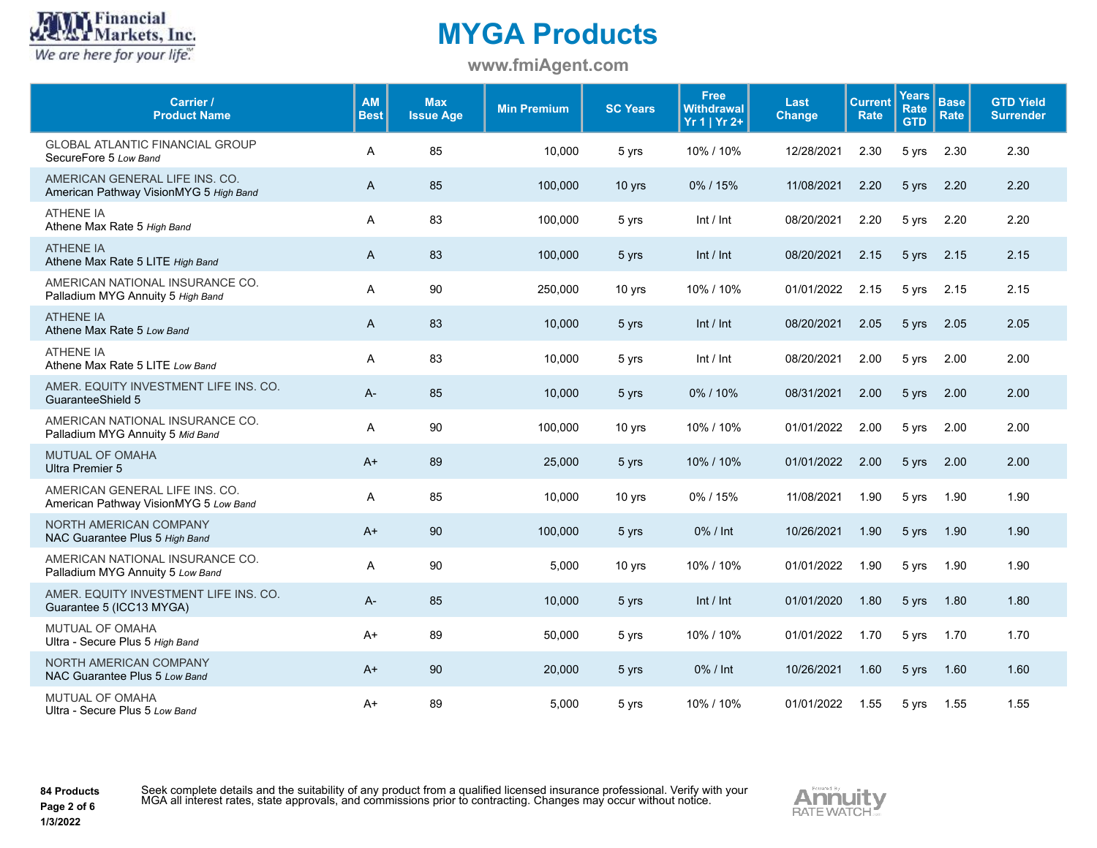

**www.fmiAgent.com**

| Carrier /<br><b>Product Name</b>                                         | <b>AM</b><br><b>Best</b> | <b>Max</b><br><b>Issue Age</b> | <b>Min Premium</b> | <b>SC Years</b> | Free<br>Withdrawal<br>Yr 1   Yr 2+ | Last<br><b>Change</b> | <b>Current</b><br><b>Rate</b> | Years<br>Rate<br><b>GTD</b> | <b>Base</b><br>Rate | <b>GTD Yield</b><br><b>Surrender</b> |
|--------------------------------------------------------------------------|--------------------------|--------------------------------|--------------------|-----------------|------------------------------------|-----------------------|-------------------------------|-----------------------------|---------------------|--------------------------------------|
| <b>GLOBAL ATLANTIC FINANCIAL GROUP</b><br>SecureFore 5 Low Band          | A                        | 85                             | 10.000             | 5 yrs           | 10% / 10%                          | 12/28/2021            | 2.30                          | 5 yrs                       | 2.30                | 2.30                                 |
| AMERICAN GENERAL LIFE INS. CO.<br>American Pathway VisionMYG 5 High Band | A                        | 85                             | 100,000            | 10 yrs          | 0%/15%                             | 11/08/2021            | 2.20                          | 5 yrs                       | 2.20                | 2.20                                 |
| <b>ATHENE IA</b><br>Athene Max Rate 5 High Band                          | A                        | 83                             | 100,000            | 5 yrs           | Int / Int                          | 08/20/2021            | 2.20                          | 5 yrs                       | 2.20                | 2.20                                 |
| <b>ATHENE IA</b><br>Athene Max Rate 5 LITE High Band                     | $\mathsf{A}$             | 83                             | 100,000            | 5 yrs           | Int / Int                          | 08/20/2021            | 2.15                          | 5 yrs                       | 2.15                | 2.15                                 |
| AMERICAN NATIONAL INSURANCE CO.<br>Palladium MYG Annuity 5 High Band     | A                        | 90                             | 250,000            | 10 yrs          | 10% / 10%                          | 01/01/2022            | 2.15                          | 5 yrs                       | 2.15                | 2.15                                 |
| <b>ATHENE IA</b><br>Athene Max Rate 5 Low Band                           | A                        | 83                             | 10,000             | 5 yrs           | Int / Int                          | 08/20/2021            | 2.05                          | 5 yrs                       | 2.05                | 2.05                                 |
| <b>ATHENE IA</b><br>Athene Max Rate 5 LITE Low Band                      | A                        | 83                             | 10,000             | 5 yrs           | Int / Int                          | 08/20/2021            | 2.00                          | 5 yrs                       | 2.00                | 2.00                                 |
| AMER. EQUITY INVESTMENT LIFE INS. CO.<br>GuaranteeShield 5               | $A -$                    | 85                             | 10,000             | 5 yrs           | $0\%$ / 10%                        | 08/31/2021            | 2.00                          | 5 yrs                       | 2.00                | 2.00                                 |
| AMERICAN NATIONAL INSURANCE CO.<br>Palladium MYG Annuity 5 Mid Band      | A                        | 90                             | 100,000            | 10 yrs          | 10% / 10%                          | 01/01/2022            | 2.00                          | 5 yrs                       | 2.00                | 2.00                                 |
| <b>MUTUAL OF OMAHA</b><br>Ultra Premier 5                                | $A+$                     | 89                             | 25,000             | 5 yrs           | 10% / 10%                          | 01/01/2022            | 2.00                          | 5 yrs                       | 2.00                | 2.00                                 |
| AMERICAN GENERAL LIFE INS. CO.<br>American Pathway VisionMYG 5 Low Band  | A                        | 85                             | 10,000             | 10 yrs          | 0%/15%                             | 11/08/2021            | 1.90                          | 5 yrs                       | 1.90                | 1.90                                 |
| NORTH AMERICAN COMPANY<br>NAC Guarantee Plus 5 High Band                 | $A+$                     | 90                             | 100,000            | 5 yrs           | 0% / Int                           | 10/26/2021            | 1.90                          | 5 yrs                       | 1.90                | 1.90                                 |
| AMERICAN NATIONAL INSURANCE CO.<br>Palladium MYG Annuity 5 Low Band      | A                        | 90                             | 5,000              | 10 yrs          | 10% / 10%                          | 01/01/2022            | 1.90                          | 5 yrs                       | 1.90                | 1.90                                 |
| AMER. EQUITY INVESTMENT LIFE INS. CO.<br>Guarantee 5 (ICC13 MYGA)        | $A-$                     | 85                             | 10,000             | 5 yrs           | Int / Int                          | 01/01/2020            | 1.80                          | 5 yrs                       | 1.80                | 1.80                                 |
| <b>MUTUAL OF OMAHA</b><br>Ultra - Secure Plus 5 High Band                | $A+$                     | 89                             | 50,000             | 5 yrs           | 10% / 10%                          | 01/01/2022            | 1.70                          | 5 yrs                       | 1.70                | 1.70                                 |
| NORTH AMERICAN COMPANY<br>NAC Guarantee Plus 5 Low Band                  | $A+$                     | 90                             | 20,000             | 5 yrs           | $0\%$ / Int                        | 10/26/2021            | 1.60                          | 5 yrs                       | 1.60                | 1.60                                 |
| <b>MUTUAL OF OMAHA</b><br>Ultra - Secure Plus 5 Low Band                 | A+                       | 89                             | 5,000              | 5 yrs           | 10% / 10%                          | 01/01/2022            | 1.55                          | 5 yrs                       | 1.55                | 1.55                                 |

**84 Products Page 2 of 6**

Seek complete details and the suitability of any product from a qualified licensed insurance professional. Verify with your<br>MGA all interest rates, state approvals, and commissions prior to contracting. Changes may occur w

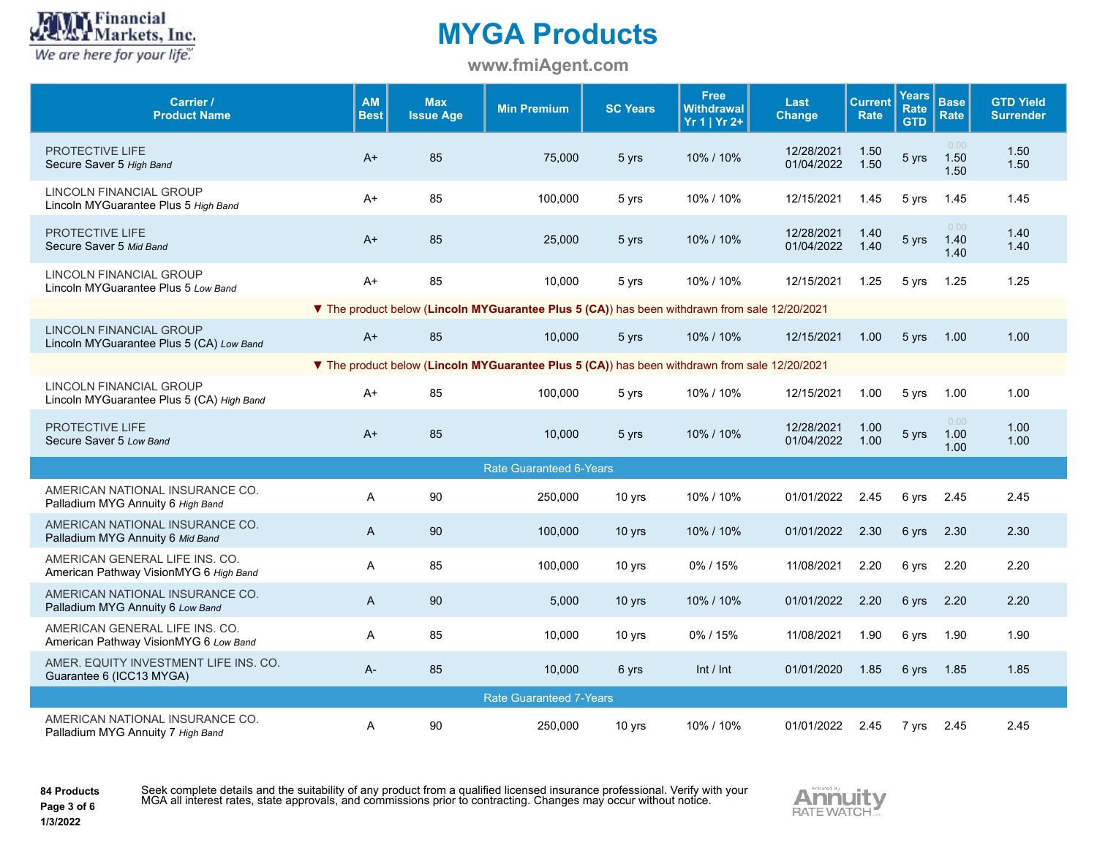**MAN** Financial<br>Markets, Inc. We are here for your life".

### **MYGA Products**

**www.fmiAgent.com**

| <b>Carrier /</b><br><b>Product Name</b>                                    | <b>AM</b><br><b>Best</b> | <b>Max</b><br><b>Issue Age</b> | <b>Min Premium</b>                                                                          | <b>SC Years</b> | <b>Free</b><br><b>Withdrawal</b><br>Yr 1   Yr 2+ | Last<br><b>Change</b>    | <b>Current</b><br>Rate | <b>Years</b><br>Rate<br><b>GTD</b> | <b>Base</b><br>Rate  | <b>GTD Yield</b><br><b>Surrender</b> |
|----------------------------------------------------------------------------|--------------------------|--------------------------------|---------------------------------------------------------------------------------------------|-----------------|--------------------------------------------------|--------------------------|------------------------|------------------------------------|----------------------|--------------------------------------|
| PROTECTIVE LIFE<br>Secure Saver 5 High Band                                | $A+$                     | 85                             | 75,000                                                                                      | 5 yrs           | 10% / 10%                                        | 12/28/2021<br>01/04/2022 | 1.50<br>1.50           | 5 yrs                              | 0.00<br>1.50<br>1.50 | 1.50<br>1.50                         |
| <b>LINCOLN FINANCIAL GROUP</b><br>Lincoln MYGuarantee Plus 5 High Band     | $A+$                     | 85                             | 100,000                                                                                     | 5 yrs           | 10% / 10%                                        | 12/15/2021               | 1.45                   | 5 yrs                              | 1.45                 | 1.45                                 |
| PROTECTIVE LIFE<br>Secure Saver 5 Mid Band                                 | $A+$                     | 85                             | 25,000                                                                                      | 5 yrs           | 10% / 10%                                        | 12/28/2021<br>01/04/2022 | 1.40<br>1.40           | 5 yrs                              | 0.00<br>1.40<br>1.40 | 1.40<br>1.40                         |
| <b>LINCOLN FINANCIAL GROUP</b><br>Lincoln MYGuarantee Plus 5 Low Band      | $A+$                     | 85                             | 10,000                                                                                      | 5 yrs           | 10% / 10%                                        | 12/15/2021               | 1.25                   | 5 yrs                              | 1.25                 | 1.25                                 |
|                                                                            |                          |                                | The product below (Lincoln MYGuarantee Plus 5 (CA)) has been withdrawn from sale 12/20/2021 |                 |                                                  |                          |                        |                                    |                      |                                      |
| <b>LINCOLN FINANCIAL GROUP</b><br>Lincoln MYGuarantee Plus 5 (CA) Low Band | $A+$                     | 85                             | 10,000                                                                                      | 5 yrs           | 10% / 10%                                        | 12/15/2021               | 1.00                   | 5 yrs                              | 1.00                 | 1.00                                 |
|                                                                            |                          |                                | The product below (Lincoln MYGuarantee Plus 5 (CA)) has been withdrawn from sale 12/20/2021 |                 |                                                  |                          |                        |                                    |                      |                                      |
| LINCOLN FINANCIAL GROUP<br>Lincoln MYGuarantee Plus 5 (CA) High Band       | $A+$                     | 85                             | 100,000                                                                                     | 5 yrs           | 10% / 10%                                        | 12/15/2021               | 1.00                   | 5 yrs                              | 1.00                 | 1.00                                 |
| PROTECTIVE LIFE<br>Secure Saver 5 Low Band                                 | $A+$                     | 85                             | 10,000                                                                                      | 5 yrs           | 10% / 10%                                        | 12/28/2021<br>01/04/2022 | 1.00<br>1.00           | 5 yrs                              | 0.00<br>1.00<br>1.00 | 1.00<br>1.00                         |
|                                                                            |                          |                                | <b>Rate Guaranteed 6-Years</b>                                                              |                 |                                                  |                          |                        |                                    |                      |                                      |
| AMERICAN NATIONAL INSURANCE CO.<br>Palladium MYG Annuity 6 High Band       | Α                        | 90                             | 250,000                                                                                     | 10 yrs          | 10% / 10%                                        | 01/01/2022               | 2.45                   | 6 yrs                              | 2.45                 | 2.45                                 |
| AMERICAN NATIONAL INSURANCE CO.<br>Palladium MYG Annuity 6 Mid Band        | A                        | 90                             | 100,000                                                                                     | 10 yrs          | 10% / 10%                                        | 01/01/2022               | 2.30                   | 6 yrs                              | 2.30                 | 2.30                                 |
| AMERICAN GENERAL LIFE INS. CO.<br>American Pathway VisionMYG 6 High Band   | A                        | 85                             | 100,000                                                                                     | 10 yrs          | 0%/15%                                           | 11/08/2021               | 2.20                   | 6 yrs                              | 2.20                 | 2.20                                 |
| AMERICAN NATIONAL INSURANCE CO.<br>Palladium MYG Annuity 6 Low Band        | A                        | 90                             | 5,000                                                                                       | 10 yrs          | 10% / 10%                                        | 01/01/2022               | 2.20                   | 6 yrs                              | 2.20                 | 2.20                                 |
| AMERICAN GENERAL LIFE INS. CO.<br>American Pathway VisionMYG 6 Low Band    | A                        | 85                             | 10,000                                                                                      | 10 yrs          | 0%/15%                                           | 11/08/2021               | 1.90                   | 6 yrs                              | 1.90                 | 1.90                                 |
| AMER. EQUITY INVESTMENT LIFE INS. CO.<br>Guarantee 6 (ICC13 MYGA)          | $A -$                    | 85                             | 10.000                                                                                      | 6 yrs           | Int / Int                                        | 01/01/2020               | 1.85                   | 6 yrs                              | 1.85                 | 1.85                                 |
|                                                                            |                          |                                | <b>Rate Guaranteed 7-Years</b>                                                              |                 |                                                  |                          |                        |                                    |                      |                                      |
| AMERICAN NATIONAL INSURANCE CO.<br>Palladium MYG Annuity 7 High Band       | A                        | 90                             | 250,000                                                                                     | 10 yrs          | 10% / 10%                                        | 01/01/2022               | 2.45                   | 7 yrs                              | 2.45                 | 2.45                                 |

**84 Products Page 3 of 6**

Seek complete details and the suitability of any product from a qualified licensed insurance professional. Verify with your<br>MGA all interest rates, state approvals, and commissions prior to contracting. Changes may occur w

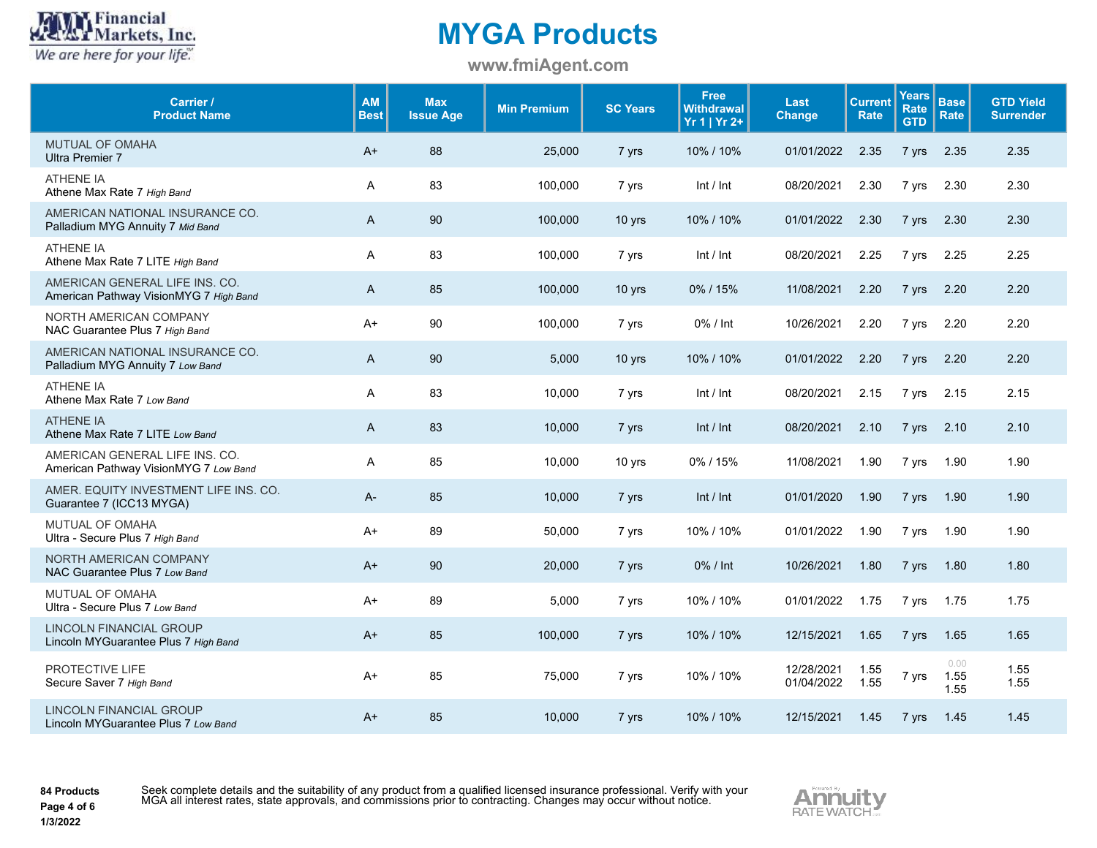

**www.fmiAgent.com**

| Carrier /<br><b>Product Name</b>                                         | <b>AM</b><br><b>Best</b> | <b>Max</b><br><b>Issue Age</b> | <b>Min Premium</b> | <b>SC Years</b> | Free<br><b>Withdrawal</b><br>Yr 1   Yr 2+ | Last<br><b>Change</b>    | <b>Current</b><br><b>Rate</b> | <b>Years</b><br>Rate<br><b>GTD</b> | <b>Base</b><br>Rate  | <b>GTD Yield</b><br><b>Surrender</b> |
|--------------------------------------------------------------------------|--------------------------|--------------------------------|--------------------|-----------------|-------------------------------------------|--------------------------|-------------------------------|------------------------------------|----------------------|--------------------------------------|
| <b>MUTUAL OF OMAHA</b><br><b>Ultra Premier 7</b>                         | $A+$                     | 88                             | 25,000             | 7 yrs           | 10% / 10%                                 | 01/01/2022               | 2.35                          | 7 yrs                              | 2.35                 | 2.35                                 |
| <b>ATHENE IA</b><br>Athene Max Rate 7 High Band                          | A                        | 83                             | 100,000            | 7 yrs           | Int / Int                                 | 08/20/2021               | 2.30                          | 7 yrs                              | 2.30                 | 2.30                                 |
| AMERICAN NATIONAL INSURANCE CO.<br>Palladium MYG Annuity 7 Mid Band      | $\mathsf{A}$             | 90                             | 100,000            | 10 yrs          | 10% / 10%                                 | 01/01/2022               | 2.30                          | 7 yrs                              | 2.30                 | 2.30                                 |
| <b>ATHENE IA</b><br>Athene Max Rate 7 LITE High Band                     | A                        | 83                             | 100.000            | 7 yrs           | Int / Int                                 | 08/20/2021               | 2.25                          | 7 yrs                              | 2.25                 | 2.25                                 |
| AMERICAN GENERAL LIFE INS. CO.<br>American Pathway VisionMYG 7 High Band | $\mathsf{A}$             | 85                             | 100,000            | 10 yrs          | 0%/15%                                    | 11/08/2021               | 2.20                          | 7 yrs                              | 2.20                 | 2.20                                 |
| <b>NORTH AMERICAN COMPANY</b><br>NAC Guarantee Plus 7 High Band          | A+                       | 90                             | 100,000            | 7 yrs           | 0% / Int                                  | 10/26/2021               | 2.20                          | 7 yrs                              | 2.20                 | 2.20                                 |
| AMERICAN NATIONAL INSURANCE CO.<br>Palladium MYG Annuity 7 Low Band      | $\mathsf{A}$             | 90                             | 5,000              | 10 yrs          | 10% / 10%                                 | 01/01/2022               | 2.20                          | 7 yrs                              | 2.20                 | 2.20                                 |
| <b>ATHENE IA</b><br>Athene Max Rate 7 Low Band                           | A                        | 83                             | 10,000             | 7 yrs           | Int / Int                                 | 08/20/2021               | 2.15                          | 7 yrs                              | 2.15                 | 2.15                                 |
| <b>ATHENE IA</b><br>Athene Max Rate 7 LITE Low Band                      | A                        | 83                             | 10,000             | 7 yrs           | Int / Int                                 | 08/20/2021               | 2.10                          | 7 yrs                              | 2.10                 | 2.10                                 |
| AMERICAN GENERAL LIFE INS. CO.<br>American Pathway VisionMYG 7 Low Band  | A                        | 85                             | 10,000             | 10 yrs          | 0%/15%                                    | 11/08/2021               | 1.90                          | 7 yrs                              | 1.90                 | 1.90                                 |
| AMER. EQUITY INVESTMENT LIFE INS. CO.<br>Guarantee 7 (ICC13 MYGA)        | A-                       | 85                             | 10.000             | 7 yrs           | Int / Int                                 | 01/01/2020               | 1.90                          | 7 yrs                              | 1.90                 | 1.90                                 |
| <b>MUTUAL OF OMAHA</b><br>Ultra - Secure Plus 7 High Band                | $A+$                     | 89                             | 50,000             | 7 yrs           | 10% / 10%                                 | 01/01/2022               | 1.90                          | 7 yrs                              | 1.90                 | 1.90                                 |
| <b>NORTH AMERICAN COMPANY</b><br>NAC Guarantee Plus 7 Low Band           | $A+$                     | 90                             | 20,000             | 7 yrs           | $0\%$ / Int                               | 10/26/2021               | 1.80                          | 7 yrs                              | 1.80                 | 1.80                                 |
| <b>MUTUAL OF OMAHA</b><br>Ultra - Secure Plus 7 Low Band                 | $A+$                     | 89                             | 5,000              | 7 yrs           | 10% / 10%                                 | 01/01/2022               | 1.75                          | 7 yrs                              | 1.75                 | 1.75                                 |
| <b>LINCOLN FINANCIAL GROUP</b><br>Lincoln MYGuarantee Plus 7 High Band   | $A+$                     | 85                             | 100,000            | 7 yrs           | 10% / 10%                                 | 12/15/2021               | 1.65                          | 7 yrs                              | 1.65                 | 1.65                                 |
| PROTECTIVE LIFE<br>Secure Saver 7 High Band                              | $A+$                     | 85                             | 75,000             | 7 yrs           | 10% / 10%                                 | 12/28/2021<br>01/04/2022 | 1.55<br>1.55                  | 7 yrs                              | 0.00<br>1.55<br>1.55 | 1.55<br>1.55                         |
| <b>LINCOLN FINANCIAL GROUP</b><br>Lincoln MYGuarantee Plus 7 Low Band    | $A+$                     | 85                             | 10,000             | 7 yrs           | 10% / 10%                                 | 12/15/2021               | 1.45                          | 7 yrs                              | 1.45                 | 1.45                                 |

**84 Products Page 4 of 6**

Seek complete details and the suitability of any product from a qualified licensed insurance professional. Verify with your<br>MGA all interest rates, state approvals, and commissions prior to contracting. Changes may occur w

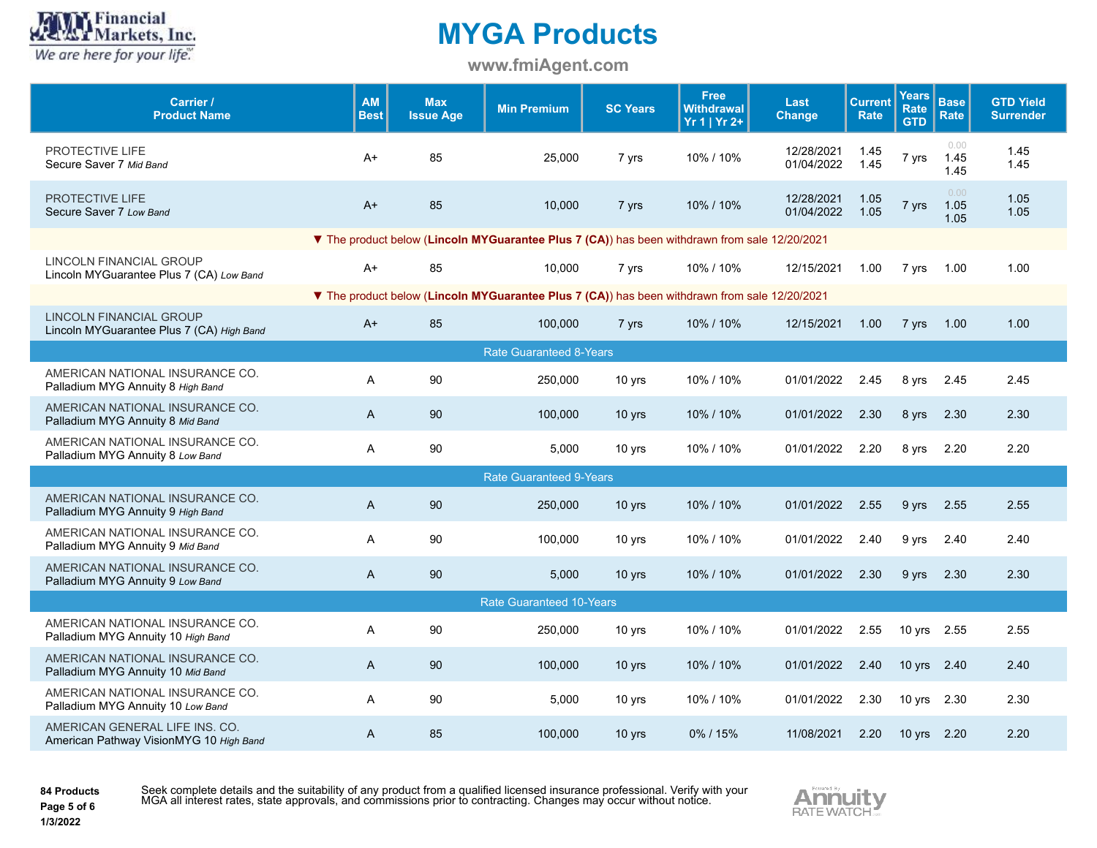

**www.fmiAgent.com**

| Carrier /<br><b>Product Name</b>                                            | <b>AM</b><br><b>Best</b> | <b>Max</b><br><b>Issue Age</b> | <b>Min Premium</b>                                                                          | <b>SC Years</b>                                                                             | <b>Free</b><br><b>Withdrawal</b><br>Yr 1   Yr 2+ | Last<br>Change           | <b>Current</b><br><b>Rate</b> | <b>Years</b><br>Rate<br><b>GTD</b> | <b>Base</b><br><b>Rate</b> | <b>GTD Yield</b><br><b>Surrender</b> |
|-----------------------------------------------------------------------------|--------------------------|--------------------------------|---------------------------------------------------------------------------------------------|---------------------------------------------------------------------------------------------|--------------------------------------------------|--------------------------|-------------------------------|------------------------------------|----------------------------|--------------------------------------|
| PROTECTIVE LIFE<br>Secure Saver 7 Mid Band                                  | $A+$                     | 85                             | 25,000                                                                                      | 7 yrs                                                                                       | 10% / 10%                                        | 12/28/2021<br>01/04/2022 | 1.45<br>1.45                  | 7 yrs                              | 0.00<br>1.45<br>1.45       | 1.45<br>1.45                         |
| PROTECTIVE LIFE<br>Secure Saver 7 Low Band                                  | $A+$                     | 85                             | 10,000                                                                                      | 7 yrs                                                                                       | 10% / 10%                                        | 12/28/2021<br>01/04/2022 | 1.05<br>1.05                  | 7 yrs                              | 0.00<br>1.05<br>1.05       | 1.05<br>1.05                         |
|                                                                             |                          |                                | The product below (Lincoln MYGuarantee Plus 7 (CA)) has been withdrawn from sale 12/20/2021 |                                                                                             |                                                  |                          |                               |                                    |                            |                                      |
| LINCOLN FINANCIAL GROUP<br>Lincoln MYGuarantee Plus 7 (CA) Low Band         | $A+$                     | 85                             | 10,000                                                                                      | 7 yrs                                                                                       | 10% / 10%                                        | 12/15/2021               | 1.00                          | 7 yrs                              | 1.00                       | 1.00                                 |
|                                                                             |                          |                                |                                                                                             | The product below (Lincoln MYGuarantee Plus 7 (CA)) has been withdrawn from sale 12/20/2021 |                                                  |                          |                               |                                    |                            |                                      |
| <b>LINCOLN FINANCIAL GROUP</b><br>Lincoln MYGuarantee Plus 7 (CA) High Band | $A+$                     | 85                             | 100,000                                                                                     | 7 yrs                                                                                       | 10% / 10%                                        | 12/15/2021               | 1.00                          | 7 yrs                              | 1.00                       | 1.00                                 |
|                                                                             |                          |                                | <b>Rate Guaranteed 8-Years</b>                                                              |                                                                                             |                                                  |                          |                               |                                    |                            |                                      |
| AMERICAN NATIONAL INSURANCE CO.<br>Palladium MYG Annuity 8 High Band        | A                        | 90                             | 250,000                                                                                     | 10 yrs                                                                                      | 10% / 10%                                        | 01/01/2022               | 2.45                          | 8 yrs                              | 2.45                       | 2.45                                 |
| AMERICAN NATIONAL INSURANCE CO.<br>Palladium MYG Annuity 8 Mid Band         | $\overline{A}$           | 90                             | 100.000                                                                                     | 10 yrs                                                                                      | 10% / 10%                                        | 01/01/2022               | 2.30                          | 8 yrs                              | 2.30                       | 2.30                                 |
| AMERICAN NATIONAL INSURANCE CO.<br>Palladium MYG Annuity 8 Low Band         | Α                        | 90                             | 5,000                                                                                       | 10 yrs                                                                                      | 10% / 10%                                        | 01/01/2022               | 2.20                          | 8 yrs                              | 2.20                       | 2.20                                 |
|                                                                             |                          |                                | <b>Rate Guaranteed 9-Years</b>                                                              |                                                                                             |                                                  |                          |                               |                                    |                            |                                      |
| AMERICAN NATIONAL INSURANCE CO.<br>Palladium MYG Annuity 9 High Band        | $\mathsf{A}$             | 90                             | 250,000                                                                                     | 10 yrs                                                                                      | 10% / 10%                                        | 01/01/2022               | 2.55                          | 9 yrs                              | 2.55                       | 2.55                                 |
| AMERICAN NATIONAL INSURANCE CO.<br>Palladium MYG Annuity 9 Mid Band         | A                        | 90                             | 100.000                                                                                     | 10 yrs                                                                                      | 10% / 10%                                        | 01/01/2022               | 2.40                          | 9 yrs                              | 2.40                       | 2.40                                 |
| AMERICAN NATIONAL INSURANCE CO.<br>Palladium MYG Annuity 9 Low Band         | $\overline{A}$           | 90                             | 5,000                                                                                       | 10 yrs                                                                                      | 10% / 10%                                        | 01/01/2022               | 2.30                          | 9 yrs                              | 2.30                       | 2.30                                 |
|                                                                             |                          |                                | <b>Rate Guaranteed 10-Years</b>                                                             |                                                                                             |                                                  |                          |                               |                                    |                            |                                      |
| AMERICAN NATIONAL INSURANCE CO.<br>Palladium MYG Annuity 10 High Band       | A                        | 90                             | 250,000                                                                                     | 10 yrs                                                                                      | 10% / 10%                                        | 01/01/2022               | 2.55                          | 10 yrs 2.55                        |                            | 2.55                                 |
| AMERICAN NATIONAL INSURANCE CO.<br>Palladium MYG Annuity 10 Mid Band        | A                        | 90                             | 100,000                                                                                     | $10$ yrs                                                                                    | 10% / 10%                                        | 01/01/2022               | 2.40                          | 10 yrs 2.40                        |                            | 2.40                                 |
| AMERICAN NATIONAL INSURANCE CO.<br>Palladium MYG Annuity 10 Low Band        | A                        | 90                             | 5,000                                                                                       | 10 yrs                                                                                      | 10% / 10%                                        | 01/01/2022               | 2.30                          | 10 yrs 2.30                        |                            | 2.30                                 |
| AMERICAN GENERAL LIFE INS. CO.<br>American Pathway VisionMYG 10 High Band   | A                        | 85                             | 100,000                                                                                     | 10 yrs                                                                                      | $0\%$ / 15%                                      | 11/08/2021               | 2.20                          | 10 yrs 2.20                        |                            | 2.20                                 |

**84 Products Page 5 of 6**

Seek complete details and the suitability of any product from a qualified licensed insurance professional. Verify with your<br>MGA all interest rates, state approvals, and commissions prior to contracting. Changes may occur w

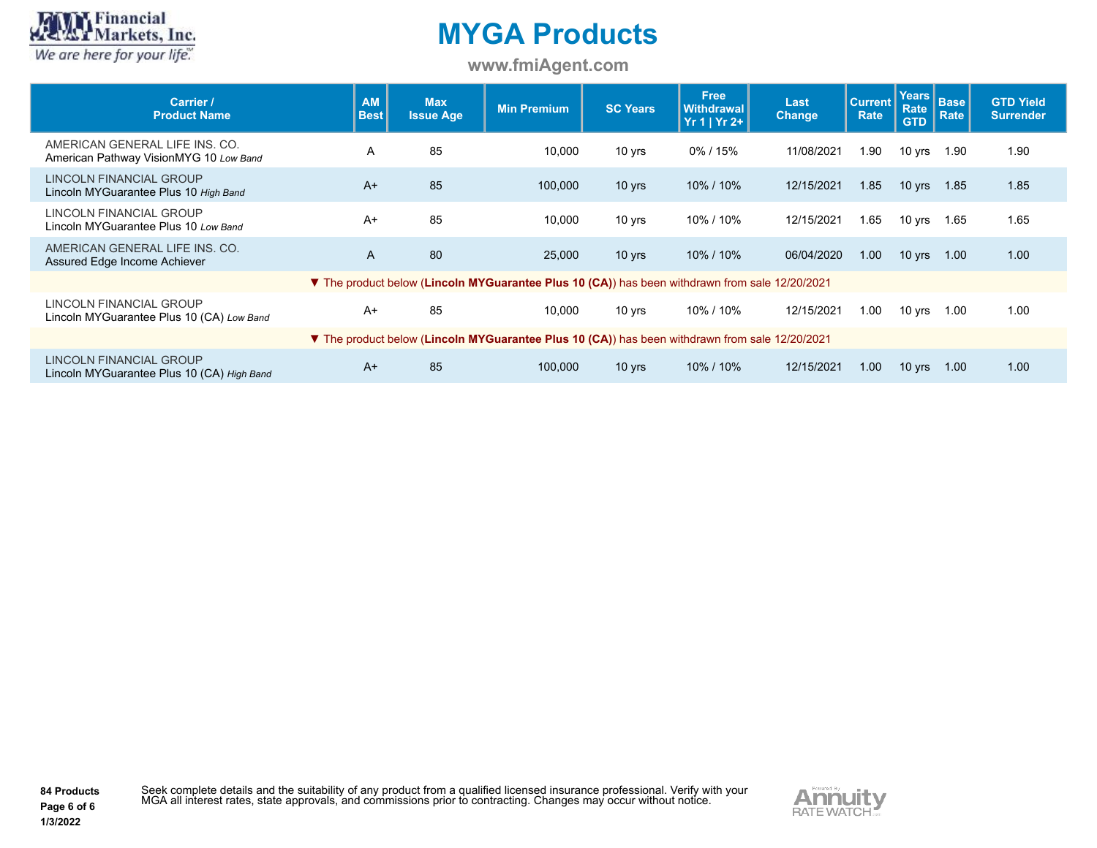**MAN** Financial<br>Markets, Inc. We are here for your life".

### **MYGA Products**

**www.fmiAgent.com**

| <b>Carrier /</b><br><b>Product Name</b>                                      | <b>AM</b><br><b>Best</b> | <b>Max</b><br><b>Issue Age</b> | <b>Min Premium</b>                                                                             | <b>SC Years</b> | <b>Free</b><br><b>Withdrawal</b><br>$Yr 1   Yr 2+$ | Last<br>Change | <b>Current</b><br><b>Rate</b> | Years<br>Rate<br><b>GTD</b> | <b>Base</b><br>Rate | <b>GTD Yield</b><br><b>Surrender</b> |
|------------------------------------------------------------------------------|--------------------------|--------------------------------|------------------------------------------------------------------------------------------------|-----------------|----------------------------------------------------|----------------|-------------------------------|-----------------------------|---------------------|--------------------------------------|
| AMERICAN GENERAL LIFE INS. CO.<br>American Pathway VisionMYG 10 Low Band     | A                        | 85                             | 10,000                                                                                         | 10 yrs          | 0% / 15%                                           | 11/08/2021     | 1.90                          | 10 yrs                      | 1.90                | 1.90                                 |
| LINCOLN FINANCIAL GROUP<br>Lincoln MYGuarantee Plus 10 High Band             | $A+$                     | 85                             | 100,000                                                                                        | 10 yrs          | 10% / 10%                                          | 12/15/2021     | 1.85                          | 10 yrs                      | 1.85                | 1.85                                 |
| LINCOLN FINANCIAL GROUP<br>Lincoln MYGuarantee Plus 10 Low Band              | $A+$                     | 85                             | 10,000                                                                                         | 10 yrs          | 10% / 10%                                          | 12/15/2021     | 1.65                          | 10 yrs                      | 1.65                | 1.65                                 |
| AMERICAN GENERAL LIFE INS. CO.<br>Assured Edge Income Achiever               | A                        | 80                             | 25,000                                                                                         | 10 yrs          | 10% / 10%                                          | 06/04/2020     | 1.00                          | $10$ yrs                    | 1.00                | 1.00                                 |
|                                                                              |                          |                                | ▼ The product below (Lincoln MYGuarantee Plus 10 (CA)) has been withdrawn from sale 12/20/2021 |                 |                                                    |                |                               |                             |                     |                                      |
| LINCOLN FINANCIAL GROUP<br>Lincoln MYGuarantee Plus 10 (CA) Low Band         | $A+$                     | 85                             | 10.000                                                                                         | 10 yrs          | 10% / 10%                                          | 12/15/2021     | 1.00                          | 10 yrs                      | 1.00                | 1.00                                 |
|                                                                              |                          |                                | ▼ The product below (Lincoln MYGuarantee Plus 10 (CA)) has been withdrawn from sale 12/20/2021 |                 |                                                    |                |                               |                             |                     |                                      |
| <b>LINCOLN FINANCIAL GROUP</b><br>Lincoln MYGuarantee Plus 10 (CA) High Band | $A+$                     | 85                             | 100.000                                                                                        | 10 yrs          | 10% / 10%                                          | 12/15/2021     | 1.00                          | $10$ yrs                    | 1.00                | 1.00                                 |

Seek complete details and the suitability of any product from a qualified licensed insurance professional. Verify with your<br>MGA all interest rates, state approvals, and commissions prior to contracting. Changes may occur w



**Page 6 of 6 1/3/2022**

**84 Products**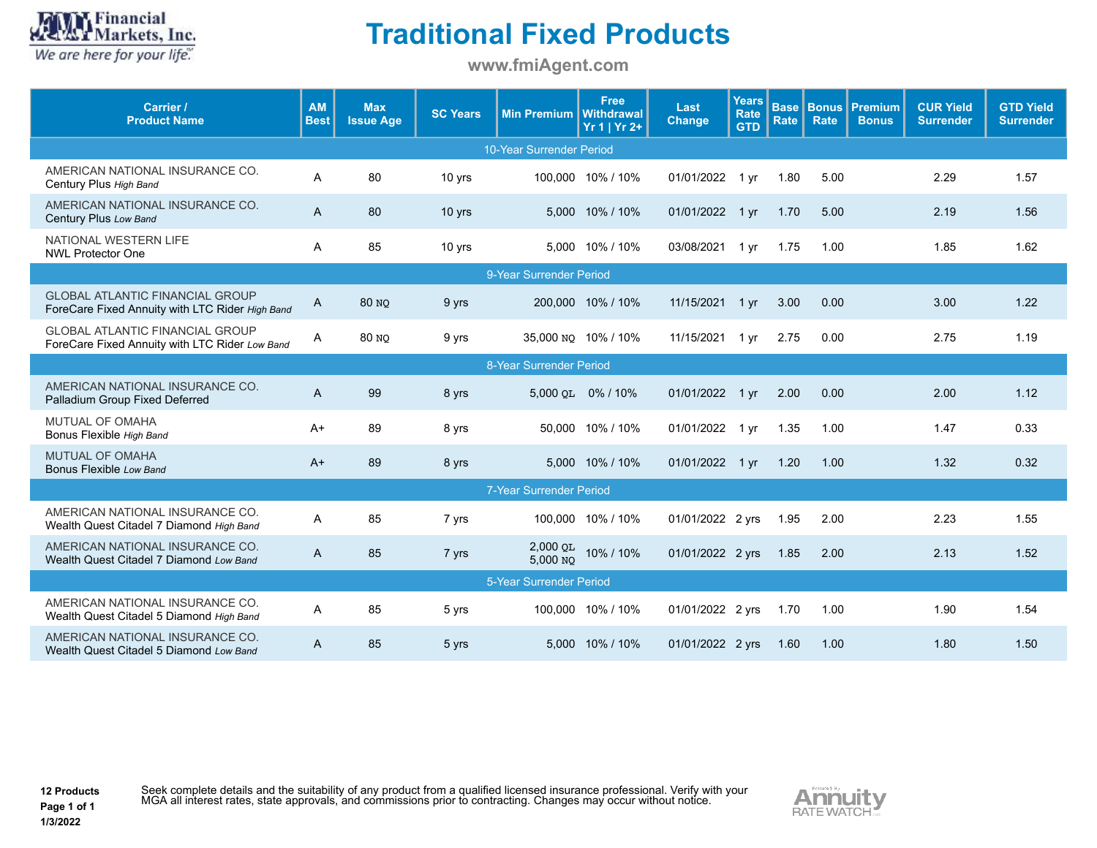

## **Traditional Fixed Products**

**www.fmiAgent.com**

| Carrier /<br><b>Product Name</b>                                                          | <b>AM</b><br><b>Best</b> | <b>Max</b><br><b>Issue Age</b> | <b>SC Years</b> | <b>Min Premium</b>             | <b>Free</b><br><b>Withdrawal</b><br>$Yr 1   Yr 2+$ | Last<br>Change   | <b>Years</b><br><b>Rate</b><br><b>GTD</b> | <b>Rate</b> | <b>Base Bonus</b><br><b>Rate</b> | Premium<br><b>Bonus</b> | <b>CUR Yield</b><br><b>Surrender</b> | <b>GTD Yield</b><br><b>Surrender</b> |
|-------------------------------------------------------------------------------------------|--------------------------|--------------------------------|-----------------|--------------------------------|----------------------------------------------------|------------------|-------------------------------------------|-------------|----------------------------------|-------------------------|--------------------------------------|--------------------------------------|
|                                                                                           |                          |                                |                 | 10-Year Surrender Period       |                                                    |                  |                                           |             |                                  |                         |                                      |                                      |
| AMERICAN NATIONAL INSURANCE CO.<br>Century Plus High Band                                 | A                        | 80                             | 10 yrs          |                                | 100,000 10% / 10%                                  | 01/01/2022       | $1 \text{ yr}$                            | 1.80        | 5.00                             |                         | 2.29                                 | 1.57                                 |
| AMERICAN NATIONAL INSURANCE CO.<br>Century Plus Low Band                                  | A                        | 80                             | 10 yrs          |                                | 5.000 10% / 10%                                    | 01/01/2022       | $1 \text{ yr}$                            | 1.70        | 5.00                             |                         | 2.19                                 | 1.56                                 |
| NATIONAL WESTERN LIFE<br><b>NWL Protector One</b>                                         | A                        | 85                             | 10 yrs          |                                | 5.000 10% / 10%                                    | 03/08/2021       | 1 yr                                      | 1.75        | 1.00                             |                         | 1.85                                 | 1.62                                 |
|                                                                                           |                          |                                |                 | 9-Year Surrender Period        |                                                    |                  |                                           |             |                                  |                         |                                      |                                      |
| <b>GLOBAL ATLANTIC FINANCIAL GROUP</b><br>ForeCare Fixed Annuity with LTC Rider High Band | A                        | <b>80 NO</b>                   | 9 yrs           |                                | 200,000 10% / 10%                                  | 11/15/2021 1 yr  |                                           | 3.00        | 0.00                             |                         | 3.00                                 | 1.22                                 |
| <b>GLOBAL ATLANTIC FINANCIAL GROUP</b><br>ForeCare Fixed Annuity with LTC Rider Low Band  | A                        | 80 NO                          | 9 yrs           |                                | 35,000 NO 10% / 10%                                | 11/15/2021       | 1 yr                                      | 2.75        | 0.00                             |                         | 2.75                                 | 1.19                                 |
|                                                                                           |                          |                                |                 | 8-Year Surrender Period        |                                                    |                  |                                           |             |                                  |                         |                                      |                                      |
| AMERICAN NATIONAL INSURANCE CO.<br>Palladium Group Fixed Deferred                         | A                        | 99                             | 8 yrs           |                                | 5,000 QL 0% / 10%                                  | 01/01/2022 1 yr  |                                           | 2.00        | 0.00                             |                         | 2.00                                 | 1.12                                 |
| MUTUAL OF OMAHA<br>Bonus Flexible High Band                                               | $A+$                     | 89                             | 8 yrs           |                                | 50,000 10% / 10%                                   | 01/01/2022       | $1 \text{ yr}$                            | 1.35        | 1.00                             |                         | 1.47                                 | 0.33                                 |
| <b>MUTUAL OF OMAHA</b><br>Bonus Flexible Low Band                                         | $A+$                     | 89                             | 8 yrs           |                                | 5.000 10% / 10%                                    | 01/01/2022 1 yr  |                                           | 1.20        | 1.00                             |                         | 1.32                                 | 0.32                                 |
|                                                                                           |                          |                                |                 | <b>7-Year Surrender Period</b> |                                                    |                  |                                           |             |                                  |                         |                                      |                                      |
| AMERICAN NATIONAL INSURANCE CO.<br>Wealth Quest Citadel 7 Diamond High Band               | Α                        | 85                             | 7 yrs           |                                | 100,000 10% / 10%                                  | 01/01/2022 2 yrs |                                           | 1.95        | 2.00                             |                         | 2.23                                 | 1.55                                 |
| AMERICAN NATIONAL INSURANCE CO.<br>Wealth Quest Citadel 7 Diamond Low Band                | A                        | 85                             | 7 yrs           | $2,000$ QL<br>5,000 NO         | 10% / 10%                                          | 01/01/2022 2 yrs |                                           | 1.85        | 2.00                             |                         | 2.13                                 | 1.52                                 |
|                                                                                           |                          |                                |                 | 5-Year Surrender Period        |                                                    |                  |                                           |             |                                  |                         |                                      |                                      |
| AMERICAN NATIONAL INSURANCE CO.<br>Wealth Quest Citadel 5 Diamond High Band               | Α                        | 85                             | 5 yrs           |                                | 100,000 10% / 10%                                  | 01/01/2022 2 yrs |                                           | 1.70        | 1.00                             |                         | 1.90                                 | 1.54                                 |
| AMERICAN NATIONAL INSURANCE CO.<br>Wealth Quest Citadel 5 Diamond Low Band                | A                        | 85                             | 5 yrs           |                                | 5.000 10% / 10%                                    | 01/01/2022 2 yrs |                                           | 1.60        | 1.00                             |                         | 1.80                                 | 1.50                                 |

**12 Products Page 1 of 1**

**1/3/2022**

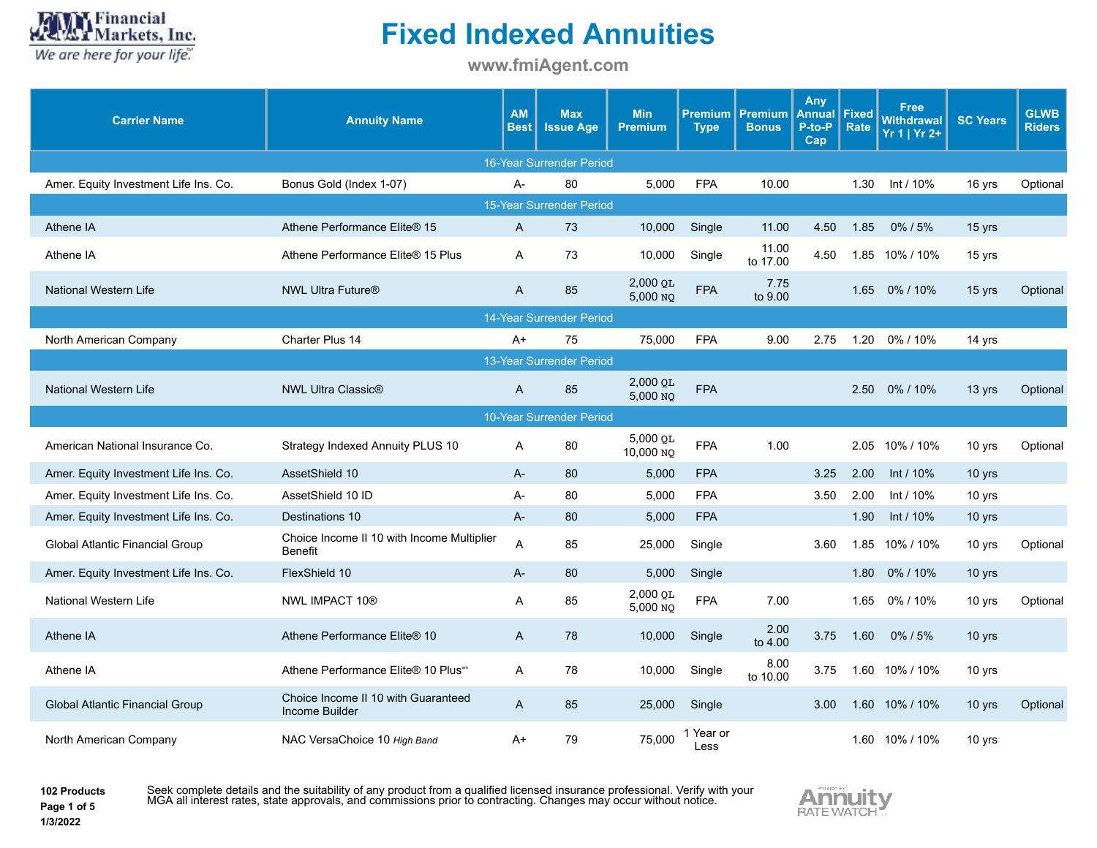

**www.fmiAgent.com**

| <b>Carrier Name</b>                   | <b>Annuity Name</b>                                          | <b>AM</b><br><b>Best</b> | <b>Max</b><br><b>Issue Age</b> | <b>Min</b><br><b>Premium</b> | Premium I<br><b>Type</b> | Premium<br><b>Bonus</b> | Any<br><b>Annual Fixed</b><br>P-to-P<br>Cap | Rate | <b>Free</b><br><b>Withdrawal</b><br>Yr 1   Yr 2+ | <b>SC Years</b> | <b>GLWB</b><br><b>Riders</b> |
|---------------------------------------|--------------------------------------------------------------|--------------------------|--------------------------------|------------------------------|--------------------------|-------------------------|---------------------------------------------|------|--------------------------------------------------|-----------------|------------------------------|
|                                       |                                                              |                          | 16-Year Surrender Period       |                              |                          |                         |                                             |      |                                                  |                 |                              |
| Amer. Equity Investment Life Ins. Co. | Bonus Gold (Index 1-07)                                      | $A -$                    | 80                             | 5.000                        | <b>FPA</b>               | 10.00                   |                                             | 1.30 | Int / 10%                                        | 16 yrs          | Optional                     |
|                                       |                                                              |                          | 15-Year Surrender Period       |                              |                          |                         |                                             |      |                                                  |                 |                              |
| Athene IA                             | Athene Performance Elite® 15                                 | $\overline{A}$           | 73                             | 10,000                       | Single                   | 11.00                   | 4.50                                        | 1.85 | $0\%$ / 5%                                       | 15 yrs          |                              |
| Athene IA                             | Athene Performance Elite® 15 Plus                            | A                        | 73                             | 10,000                       | Single                   | 11.00<br>to 17.00       | 4.50                                        |      | 1.85 10% / 10%                                   | 15 yrs          |                              |
| <b>National Western Life</b>          | <b>NWL Ultra Future®</b>                                     | A                        | 85                             | 2,000 QL<br>5,000 NO         | <b>FPA</b>               | 7.75<br>to 9.00         |                                             |      | 1.65 0%/10%                                      | 15 yrs          | Optional                     |
|                                       |                                                              |                          | 14-Year Surrender Period       |                              |                          |                         |                                             |      |                                                  |                 |                              |
| North American Company                | Charter Plus 14                                              | $A+$                     | 75                             | 75.000                       | <b>FPA</b>               | 9.00                    | 2.75                                        |      | 1.20 0%/10%                                      | 14 yrs          |                              |
|                                       |                                                              |                          | 13-Year Surrender Period       |                              |                          |                         |                                             |      |                                                  |                 |                              |
| <b>National Western Life</b>          | <b>NWL Ultra Classic®</b>                                    | $\mathsf{A}$             | 85                             | 2,000 QL<br>5.000 NO         | <b>FPA</b>               |                         |                                             | 2.50 | 0%/10%                                           | 13 yrs          | Optional                     |
|                                       |                                                              |                          | 10-Year Surrender Period       |                              |                          |                         |                                             |      |                                                  |                 |                              |
| American National Insurance Co.       | Strategy Indexed Annuity PLUS 10                             | A                        | 80                             | 5,000 QL<br>10,000 NQ        | <b>FPA</b>               | 1.00                    |                                             |      | 2.05 10% / 10%                                   | 10 yrs          | Optional                     |
| Amer. Equity Investment Life Ins. Co. | AssetShield 10                                               | $A-$                     | 80                             | 5,000                        | <b>FPA</b>               |                         | 3.25                                        | 2.00 | Int / 10%                                        | 10 yrs          |                              |
| Amer. Equity Investment Life Ins. Co. | AssetShield 10 ID                                            | А-                       | 80                             | 5,000                        | <b>FPA</b>               |                         | 3.50                                        | 2.00 | Int / 10%                                        | 10 yrs          |                              |
| Amer. Equity Investment Life Ins. Co. | Destinations 10                                              | $A -$                    | 80                             | 5,000                        | <b>FPA</b>               |                         |                                             | 1.90 | Int / 10%                                        | 10 yrs          |                              |
| Global Atlantic Financial Group       | Choice Income II 10 with Income Multiplier<br><b>Benefit</b> | A                        | 85                             | 25,000                       | Single                   |                         | 3.60                                        |      | 1.85 10% / 10%                                   | 10 yrs          | Optional                     |
| Amer. Equity Investment Life Ins. Co. | FlexShield 10                                                | $A -$                    | 80                             | 5,000                        | Single                   |                         |                                             | 1.80 | 0%/10%                                           | 10 yrs          |                              |
| National Western Life                 | NWL IMPACT 10®                                               | Α                        | 85                             | 2,000 QL<br>5,000 NO         | <b>FPA</b>               | 7.00                    |                                             | 1.65 | 0%/10%                                           | 10 yrs          | Optional                     |
| Athene IA                             | Athene Performance Elite® 10                                 | $\overline{A}$           | 78                             | 10,000                       | Single                   | 2.00<br>to 4.00         | 3.75                                        | 1.60 | 0% / 5%                                          | 10 yrs          |                              |
| Athene IA                             | Athene Performance Elite® 10 Plus <sup>sm</sup>              | Α                        | 78                             | 10,000                       | Single                   | 8.00<br>to 10.00        | 3.75                                        |      | 1.60 10% / 10%                                   | 10 yrs          |                              |
| Global Atlantic Financial Group       | Choice Income II 10 with Guaranteed<br>Income Builder        | A                        | 85                             | 25,000                       | Single                   |                         | 3.00                                        |      | 1.60 10% / 10%                                   | 10 yrs          | Optional                     |
| North American Company                | NAC VersaChoice 10 High Band                                 | $A+$                     | 79                             | 75,000                       | 1 Year or<br>Less        |                         |                                             |      | 1.60 10% / 10%                                   | 10 yrs          |                              |

**102 Products Page 1 of 5**

**1/3/2022**

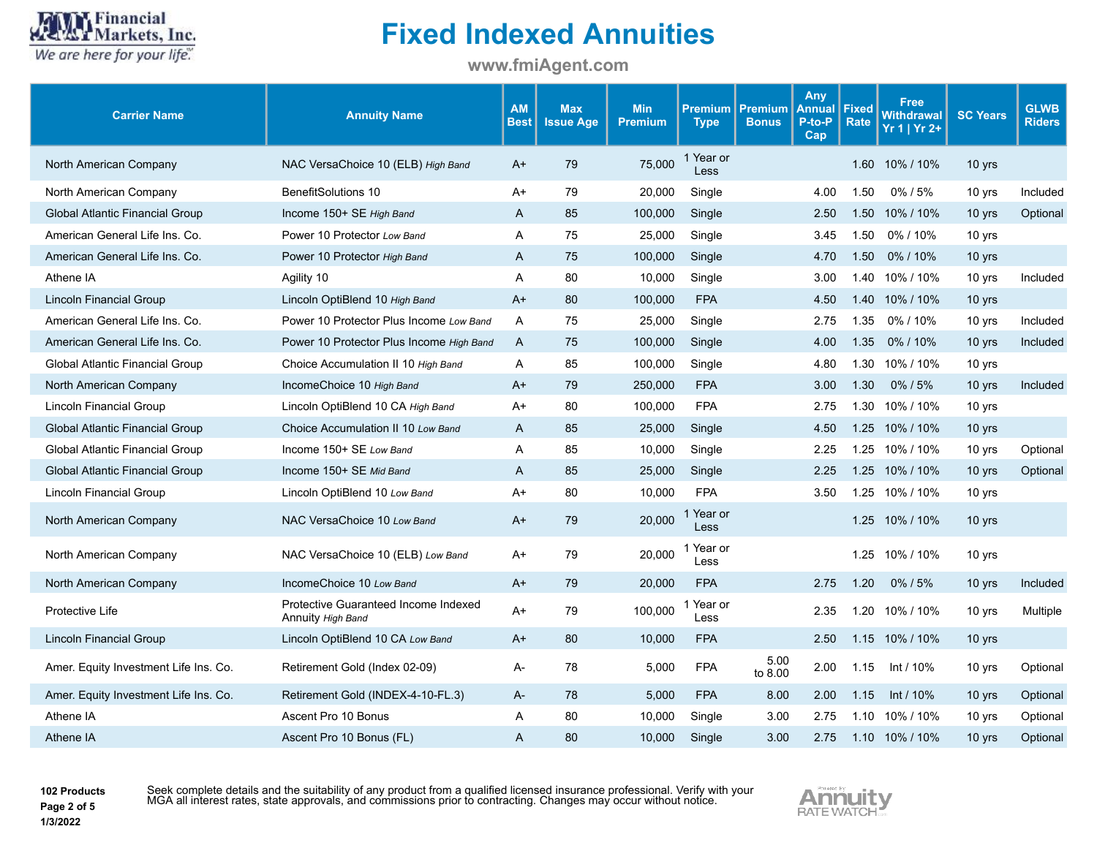

**www.fmiAgent.com**

| <b>Carrier Name</b>                    | <b>Annuity Name</b>                                       | <b>AM</b><br>Best | <b>Max</b><br><b>Issue Age</b> | <b>Min</b><br><b>Premium</b> | <b>Premium</b><br><b>Type</b> | <b>Premium</b><br><b>Bonus</b> | Any<br>Annual<br>P-to-P<br>Cap | <b>Fixed</b><br>Rate | <b>Free</b><br><b>Withdrawal</b><br>$Yr 1   Yr 2+$ | <b>SC Years</b> | <b>GLWB</b><br><b>Riders</b> |
|----------------------------------------|-----------------------------------------------------------|-------------------|--------------------------------|------------------------------|-------------------------------|--------------------------------|--------------------------------|----------------------|----------------------------------------------------|-----------------|------------------------------|
| North American Company                 | NAC VersaChoice 10 (ELB) High Band                        | A+                | 79                             | 75,000                       | 1 Year or<br>Less             |                                |                                |                      | 1.60 10% / 10%                                     | 10 yrs          |                              |
| North American Company                 | <b>BenefitSolutions 10</b>                                | A+                | 79                             | 20,000                       | Single                        |                                | 4.00                           | 1.50                 | 0%/5%                                              | 10 yrs          | Included                     |
| <b>Global Atlantic Financial Group</b> | Income 150+ SE High Band                                  | A                 | 85                             | 100,000                      | Single                        |                                | 2.50                           |                      | 1.50 10% / 10%                                     | 10 yrs          | Optional                     |
| American General Life Ins. Co.         | Power 10 Protector Low Band                               | A                 | 75                             | 25,000                       | Single                        |                                | 3.45                           | 1.50                 | 0%/10%                                             | 10 yrs          |                              |
| American General Life Ins. Co.         | Power 10 Protector High Band                              | A                 | 75                             | 100,000                      | Single                        |                                | 4.70                           | 1.50                 | 0%/10%                                             | 10 yrs          |                              |
| Athene IA                              | Agility 10                                                | A                 | 80                             | 10,000                       | Single                        |                                | 3.00                           | 1.40                 | 10% / 10%                                          | 10 yrs          | Included                     |
| Lincoln Financial Group                | Lincoln OptiBlend 10 High Band                            | $A+$              | 80                             | 100,000                      | <b>FPA</b>                    |                                | 4.50                           |                      | 1.40 10% / 10%                                     | 10 yrs          |                              |
| American General Life Ins. Co.         | Power 10 Protector Plus Income Low Band                   | A                 | 75                             | 25,000                       | Single                        |                                | 2.75                           | 1.35                 | 0%/10%                                             | 10 yrs          | Included                     |
| American General Life Ins. Co.         | Power 10 Protector Plus Income High Band                  | A                 | 75                             | 100,000                      | Single                        |                                | 4.00                           | 1.35                 | 0%/10%                                             | 10 yrs          | Included                     |
| Global Atlantic Financial Group        | Choice Accumulation II 10 High Band                       | A                 | 85                             | 100,000                      | Single                        |                                | 4.80                           |                      | 1.30 10% / 10%                                     | 10 yrs          |                              |
| North American Company                 | IncomeChoice 10 High Band                                 | $A+$              | 79                             | 250,000                      | <b>FPA</b>                    |                                | 3.00                           | 1.30                 | $0\%$ / 5%                                         | 10 yrs          | Included                     |
| Lincoln Financial Group                | Lincoln OptiBlend 10 CA High Band                         | A+                | 80                             | 100,000                      | <b>FPA</b>                    |                                | 2.75                           |                      | 1.30 10% / 10%                                     | 10 yrs          |                              |
| <b>Global Atlantic Financial Group</b> | Choice Accumulation II 10 Low Band                        | A                 | 85                             | 25,000                       | Single                        |                                | 4.50                           |                      | 1.25 10% / 10%                                     | 10 yrs          |                              |
| Global Atlantic Financial Group        | Income 150+ SE Low Band                                   | A                 | 85                             | 10,000                       | Single                        |                                | 2.25                           |                      | 1.25 10% / 10%                                     | 10 yrs          | Optional                     |
| Global Atlantic Financial Group        | Income 150+ SE Mid Band                                   | A                 | 85                             | 25,000                       | Single                        |                                | 2.25                           |                      | 1.25 10% / 10%                                     | 10 yrs          | Optional                     |
| Lincoln Financial Group                | Lincoln OptiBlend 10 Low Band                             | A+                | 80                             | 10,000                       | <b>FPA</b>                    |                                | 3.50                           |                      | 1.25 10% / 10%                                     | 10 yrs          |                              |
| North American Company                 | NAC VersaChoice 10 Low Band                               | $A+$              | 79                             | 20,000                       | 1 Year or<br>Less             |                                |                                |                      | 1.25 10% / 10%                                     | 10 yrs          |                              |
| North American Company                 | NAC VersaChoice 10 (ELB) Low Band                         | A+                | 79                             | 20,000                       | Year or<br>Less               |                                |                                |                      | 1.25 10% / 10%                                     | 10 yrs          |                              |
| North American Company                 | IncomeChoice 10 Low Band                                  | $A+$              | 79                             | 20,000                       | <b>FPA</b>                    |                                | 2.75                           | 1.20                 | $0\%$ / 5%                                         | 10 yrs          | Included                     |
| Protective Life                        | Protective Guaranteed Income Indexed<br>Annuity High Band | $A+$              | 79                             | 100,000                      | Year or<br>Less               |                                | 2.35                           |                      | 1.20 10% / 10%                                     | 10 yrs          | Multiple                     |
| Lincoln Financial Group                | Lincoln OptiBlend 10 CA Low Band                          | $A+$              | 80                             | 10,000                       | <b>FPA</b>                    |                                | 2.50                           |                      | 1.15 10% / 10%                                     | 10 yrs          |                              |
| Amer. Equity Investment Life Ins. Co.  | Retirement Gold (Index 02-09)                             | A-                | 78                             | 5,000                        | <b>FPA</b>                    | 5.00<br>to 8.00                | 2.00                           | 1.15                 | Int / $10\%$                                       | 10 yrs          | Optional                     |
| Amer. Equity Investment Life Ins. Co.  | Retirement Gold (INDEX-4-10-FL.3)                         | $A-$              | 78                             | 5,000                        | <b>FPA</b>                    | 8.00                           | 2.00                           | 1.15                 | Int / $10\%$                                       | 10 yrs          | Optional                     |
| Athene IA                              | Ascent Pro 10 Bonus                                       | A                 | 80                             | 10,000                       | Single                        | 3.00                           | 2.75                           |                      | 1.10 10% / 10%                                     | 10 yrs          | Optional                     |
| Athene IA                              | Ascent Pro 10 Bonus (FL)                                  | A                 | 80                             | 10,000                       | Single                        | 3.00                           | 2.75                           |                      | 1.10 10% / 10%                                     | 10 yrs          | Optional                     |

**102 Products Page 2 of 5 1/3/2022**

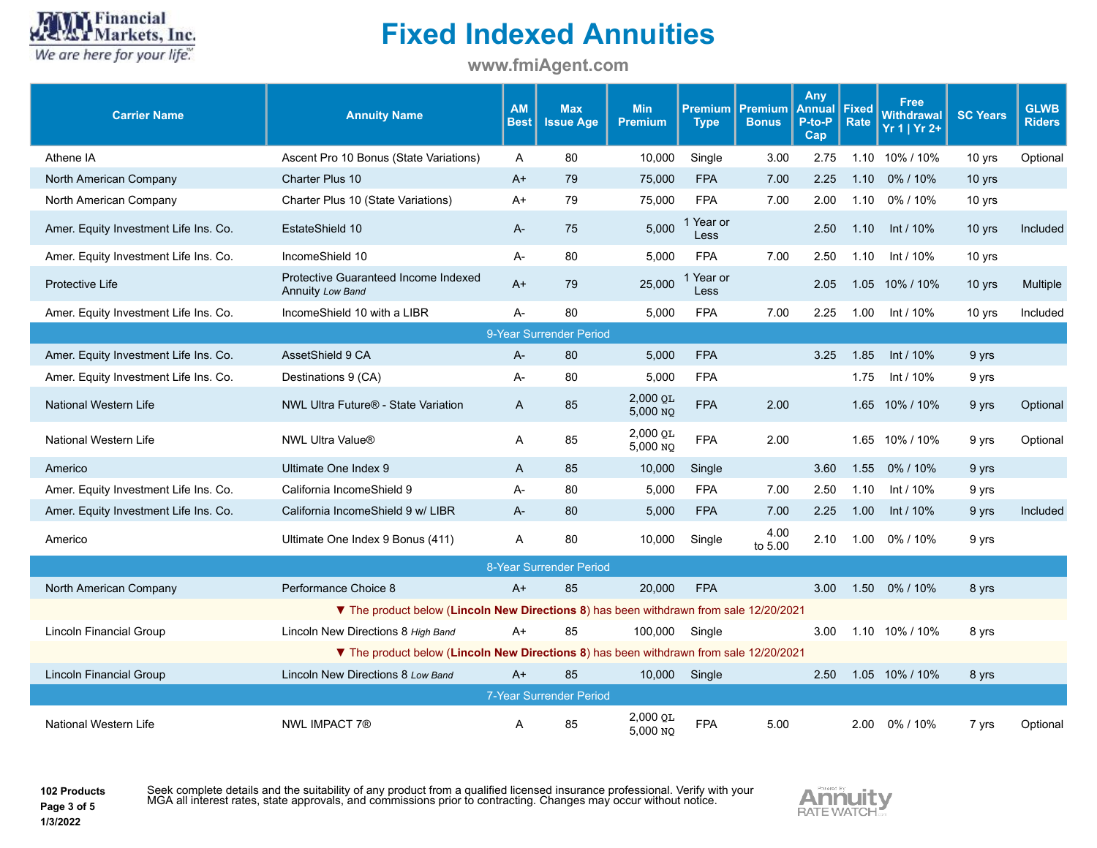

**www.fmiAgent.com**

| <b>Carrier Name</b>                   | <b>Annuity Name</b>                                                                    | <b>AM</b><br><b>Best</b> | <b>Max</b><br><b>Issue Age</b> | <b>Min</b><br><b>Premium</b> | <b>Premium</b><br><b>Type</b> | Premium<br><b>Bonus</b> | Any<br>Annual<br>P-to-P<br>Cap | <b>Fixed</b><br><b>Rate</b> | <b>Free</b><br><b>Withdrawal</b><br>$Yr 1   Yr 2+$ | <b>SC Years</b> | <b>GLWB</b><br><b>Riders</b> |
|---------------------------------------|----------------------------------------------------------------------------------------|--------------------------|--------------------------------|------------------------------|-------------------------------|-------------------------|--------------------------------|-----------------------------|----------------------------------------------------|-----------------|------------------------------|
| Athene IA                             | Ascent Pro 10 Bonus (State Variations)                                                 | A                        | 80                             | 10,000                       | Single                        | 3.00                    | 2.75                           | 1.10                        | 10% / 10%                                          | 10 yrs          | Optional                     |
| North American Company                | Charter Plus 10                                                                        | $A+$                     | 79                             | 75,000                       | <b>FPA</b>                    | 7.00                    | 2.25                           | 1.10                        | 0%/10%                                             | 10 yrs          |                              |
| North American Company                | Charter Plus 10 (State Variations)                                                     | $A+$                     | 79                             | 75,000                       | <b>FPA</b>                    | 7.00                    | 2.00                           | 1.10                        | 0%/10%                                             | 10 yrs          |                              |
| Amer. Equity Investment Life Ins. Co. | EstateShield 10                                                                        | A-                       | 75                             | 5,000                        | 1 Year or<br><b>Less</b>      |                         | 2.50                           | 1.10                        | Int / $10\%$                                       | 10 yrs          | Included                     |
| Amer. Equity Investment Life Ins. Co. | IncomeShield 10                                                                        | A-                       | 80                             | 5,000                        | <b>FPA</b>                    | 7.00                    | 2.50                           | 1.10                        | Int / 10%                                          | 10 yrs          |                              |
| <b>Protective Life</b>                | Protective Guaranteed Income Indexed<br>Annuity Low Band                               | $A+$                     | 79                             | 25,000                       | 1 Year or<br>Less             |                         | 2.05                           | 1.05                        | 10% / 10%                                          | 10 yrs          | Multiple                     |
| Amer. Equity Investment Life Ins. Co. | IncomeShield 10 with a LIBR                                                            | $A -$                    | 80                             | 5,000                        | <b>FPA</b>                    | 7.00                    | 2.25                           | 1.00                        | Int / 10%                                          | 10 yrs          | Included                     |
|                                       |                                                                                        |                          | 9-Year Surrender Period        |                              |                               |                         |                                |                             |                                                    |                 |                              |
| Amer. Equity Investment Life Ins. Co. | AssetShield 9 CA                                                                       | $A -$                    | 80                             | 5,000                        | <b>FPA</b>                    |                         | 3.25                           | 1.85                        | Int / $10\%$                                       | 9 yrs           |                              |
| Amer. Equity Investment Life Ins. Co. | Destinations 9 (CA)                                                                    | A-                       | 80                             | 5,000                        | <b>FPA</b>                    |                         |                                | 1.75                        | Int / 10%                                          | 9 yrs           |                              |
| <b>National Western Life</b>          | NWL Ultra Future <sup>®</sup> - State Variation                                        | A                        | 85                             | 2,000 QL<br>5,000 NQ         | <b>FPA</b>                    | 2.00                    |                                | 1.65                        | 10% / 10%                                          | 9 yrs           | Optional                     |
| National Western Life                 | <b>NWL Ultra Value®</b>                                                                | Α                        | 85                             | 2,000 QL<br>5,000 NQ         | <b>FPA</b>                    | 2.00                    |                                | 1.65                        | 10% / 10%                                          | 9 yrs           | Optional                     |
| Americo                               | Ultimate One Index 9                                                                   | $\overline{A}$           | 85                             | 10,000                       | Single                        |                         | 3.60                           | 1.55                        | 0%/10%                                             | 9 yrs           |                              |
| Amer. Equity Investment Life Ins. Co. | California IncomeShield 9                                                              | A-                       | 80                             | 5,000                        | <b>FPA</b>                    | 7.00                    | 2.50                           | 1.10                        | Int / 10%                                          | 9 yrs           |                              |
| Amer. Equity Investment Life Ins. Co. | California IncomeShield 9 w/ LIBR                                                      | A-                       | 80                             | 5,000                        | <b>FPA</b>                    | 7.00                    | 2.25                           | 1.00                        | $Int / 10\%$                                       | 9 yrs           | Included                     |
| Americo                               | Ultimate One Index 9 Bonus (411)                                                       | A                        | 80                             | 10,000                       | Single                        | 4.00<br>to 5.00         | 2.10                           | 1.00                        | 0%/10%                                             | 9 yrs           |                              |
|                                       |                                                                                        |                          | 8-Year Surrender Period        |                              |                               |                         |                                |                             |                                                    |                 |                              |
| North American Company                | Performance Choice 8                                                                   | $A+$                     | 85                             | 20,000                       | <b>FPA</b>                    |                         | 3.00                           | 1.50                        | 0%/10%                                             | 8 yrs           |                              |
|                                       | ▼ The product below (Lincoln New Directions 8) has been withdrawn from sale 12/20/2021 |                          |                                |                              |                               |                         |                                |                             |                                                    |                 |                              |
| Lincoln Financial Group               | Lincoln New Directions 8 High Band                                                     | A+                       | 85                             | 100,000                      | Single                        |                         | 3.00                           |                             | 1.10 10% / 10%                                     | 8 yrs           |                              |
|                                       | The product below (Lincoln New Directions 8) has been withdrawn from sale 12/20/2021   |                          |                                |                              |                               |                         |                                |                             |                                                    |                 |                              |
| Lincoln Financial Group               | Lincoln New Directions 8 Low Band                                                      | $A+$                     | 85                             | 10,000                       | Single                        |                         | 2.50                           |                             | 1.05 10% / 10%                                     | 8 yrs           |                              |
|                                       |                                                                                        |                          | 7-Year Surrender Period        |                              |                               |                         |                                |                             |                                                    |                 |                              |
| National Western Life                 | <b>NWL IMPACT 7®</b>                                                                   | Α                        | 85                             | 2,000 OL<br>5.000 NO         | <b>FPA</b>                    | 5.00                    |                                | 2.00                        | 0% / 10%                                           | 7 yrs           | Optional                     |

**102 Products Page 3 of 5**

**1/3/2022**

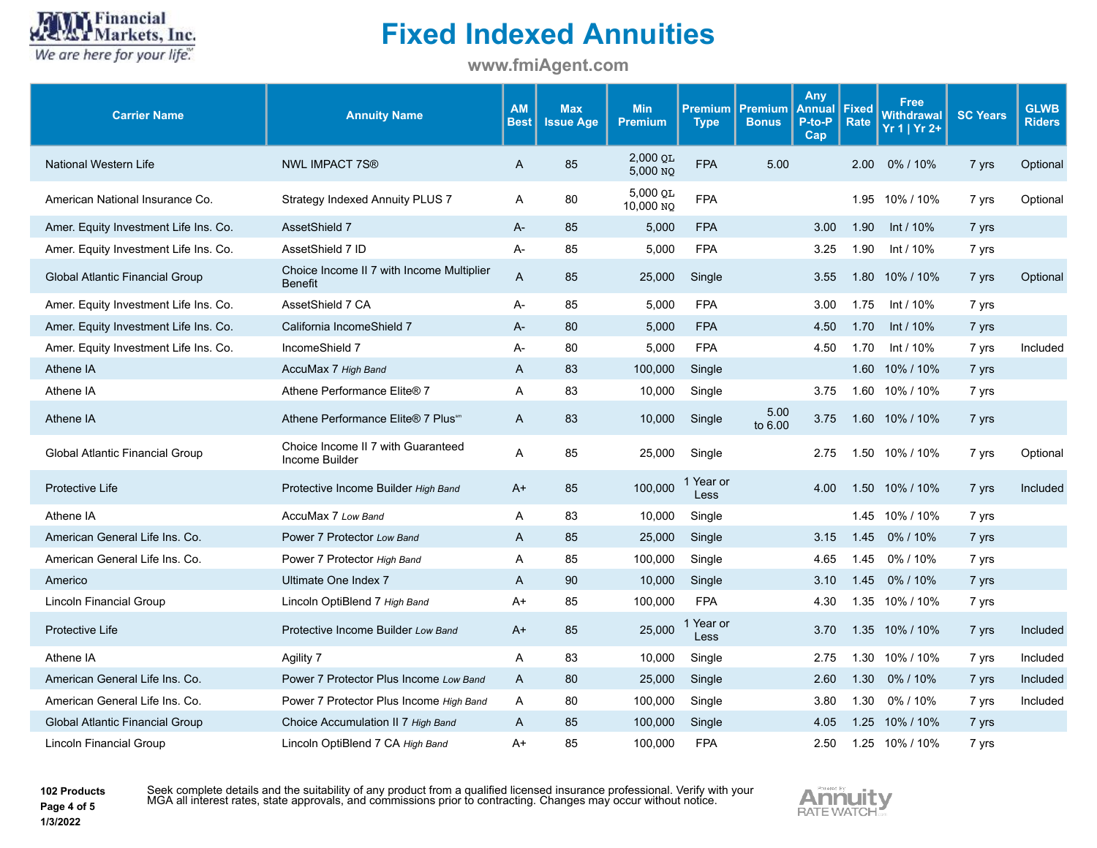

**www.fmiAgent.com**

| <b>Carrier Name</b>                   | <b>Annuity Name</b>                                         | <b>AM</b><br><b>Best</b> | <b>Max</b><br><b>Issue Age</b> | <b>Min</b><br><b>Premium</b> | Premium I<br><b>Type</b> | Premium<br><b>Bonus</b> | Any.<br><b>Annual</b><br>P-to-P<br>Cap | <b>Fixed</b><br>Rate | <b>Free</b><br><b>Withdrawal</b><br>Yr 1   Yr 2+ | <b>SC Years</b> | <b>GLWB</b><br><b>Riders</b> |
|---------------------------------------|-------------------------------------------------------------|--------------------------|--------------------------------|------------------------------|--------------------------|-------------------------|----------------------------------------|----------------------|--------------------------------------------------|-----------------|------------------------------|
| <b>National Western Life</b>          | <b>NWL IMPACT 7S®</b>                                       | A                        | 85                             | $2,000$ QL<br>5,000 NO       | <b>FPA</b>               | 5.00                    |                                        | 2.00                 | 0%/10%                                           | 7 yrs           | Optional                     |
| American National Insurance Co.       | Strategy Indexed Annuity PLUS 7                             | A                        | 80                             | $5,000$ QL<br>10,000 NQ      | <b>FPA</b>               |                         |                                        |                      | 1.95 10% / 10%                                   | 7 yrs           | Optional                     |
| Amer. Equity Investment Life Ins. Co. | AssetShield 7                                               | $A -$                    | 85                             | 5,000                        | <b>FPA</b>               |                         | 3.00                                   | 1.90                 | Int / 10%                                        | 7 yrs           |                              |
| Amer. Equity Investment Life Ins. Co. | AssetShield 7 ID                                            | A-                       | 85                             | 5,000                        | <b>FPA</b>               |                         | 3.25                                   | 1.90                 | Int / $10\%$                                     | 7 yrs           |                              |
| Global Atlantic Financial Group       | Choice Income II 7 with Income Multiplier<br><b>Benefit</b> | A                        | 85                             | 25,000                       | Single                   |                         | 3.55                                   |                      | 1.80 10% / 10%                                   | 7 yrs           | Optional                     |
| Amer. Equity Investment Life Ins. Co. | AssetShield 7 CA                                            | A-                       | 85                             | 5,000                        | <b>FPA</b>               |                         | 3.00                                   | 1.75                 | Int / 10%                                        | 7 yrs           |                              |
| Amer. Equity Investment Life Ins. Co. | California IncomeShield 7                                   | $A -$                    | 80                             | 5,000                        | <b>FPA</b>               |                         | 4.50                                   | 1.70                 | Int / 10%                                        | 7 yrs           |                              |
| Amer. Equity Investment Life Ins. Co. | IncomeShield 7                                              | А-                       | 80                             | 5,000                        | <b>FPA</b>               |                         | 4.50                                   | 1.70                 | Int / $10\%$                                     | 7 yrs           | Included                     |
| Athene IA                             | AccuMax 7 High Band                                         | A                        | 83                             | 100,000                      | Single                   |                         |                                        |                      | 1.60 10% / 10%                                   | 7 yrs           |                              |
| Athene IA                             | Athene Performance Elite® 7                                 | A                        | 83                             | 10,000                       | Single                   |                         | 3.75                                   |                      | 1.60 10% / 10%                                   | 7 yrs           |                              |
| Athene IA                             | Athene Performance Elite® 7 Plus <sup>sm</sup>              | $\mathsf{A}$             | 83                             | 10,000                       | Single                   | 5.00<br>to 6.00         | 3.75                                   |                      | 1.60 10% / 10%                                   | 7 yrs           |                              |
| Global Atlantic Financial Group       | Choice Income II 7 with Guaranteed<br>Income Builder        | A                        | 85                             | 25,000                       | Single                   |                         | 2.75                                   |                      | 1.50 10% / 10%                                   | 7 yrs           | Optional                     |
| <b>Protective Life</b>                | Protective Income Builder High Band                         | $A+$                     | 85                             | 100,000                      | 1 Year or<br><b>Less</b> |                         | 4.00                                   |                      | 1.50 10% / 10%                                   | 7 yrs           | Included                     |
| Athene IA                             | AccuMax 7 Low Band                                          | A                        | 83                             | 10,000                       | Single                   |                         |                                        |                      | 1.45 10% / 10%                                   | 7 yrs           |                              |
| American General Life Ins. Co.        | Power 7 Protector Low Band                                  | $\mathsf{A}$             | 85                             | 25,000                       | Single                   |                         | 3.15                                   | 1.45                 | 0%/10%                                           | 7 yrs           |                              |
| American General Life Ins. Co.        | Power 7 Protector High Band                                 | A                        | 85                             | 100,000                      | Single                   |                         | 4.65                                   | 1.45                 | 0% / 10%                                         | 7 yrs           |                              |
| Americo                               | Ultimate One Index 7                                        | $\mathsf{A}$             | 90                             | 10,000                       | Single                   |                         | 3.10                                   | 1.45                 | 0% / 10%                                         | 7 yrs           |                              |
| Lincoln Financial Group               | Lincoln OptiBlend 7 High Band                               | A+                       | 85                             | 100,000                      | <b>FPA</b>               |                         | 4.30                                   |                      | 1.35 10% / 10%                                   | 7 yrs           |                              |
| <b>Protective Life</b>                | Protective Income Builder Low Band                          | $A+$                     | 85                             | 25,000                       | 1 Year or<br>Less        |                         | 3.70                                   |                      | 1.35 10% / 10%                                   | 7 yrs           | Included                     |
| Athene IA                             | Agility 7                                                   | A                        | 83                             | 10,000                       | Single                   |                         | 2.75                                   |                      | 1.30 10% / 10%                                   | 7 yrs           | Included                     |
| American General Life Ins. Co.        | Power 7 Protector Plus Income Low Band                      | A                        | 80                             | 25,000                       | Single                   |                         | 2.60                                   | 1.30                 | 0%/10%                                           | 7 yrs           | Included                     |
| American General Life Ins. Co.        | Power 7 Protector Plus Income High Band                     | A                        | 80                             | 100,000                      | Single                   |                         | 3.80                                   | 1.30                 | 0%/10%                                           | 7 yrs           | Included                     |
| Global Atlantic Financial Group       | Choice Accumulation II 7 High Band                          | A                        | 85                             | 100,000                      | Single                   |                         | 4.05                                   |                      | 1.25 10% / 10%                                   | 7 yrs           |                              |
| Lincoln Financial Group               | Lincoln OptiBlend 7 CA High Band                            | A+                       | 85                             | 100,000                      | <b>FPA</b>               |                         | 2.50                                   |                      | 1.25 10% / 10%                                   | 7 yrs           |                              |

**102 Products Page 4 of 5 1/3/2022**

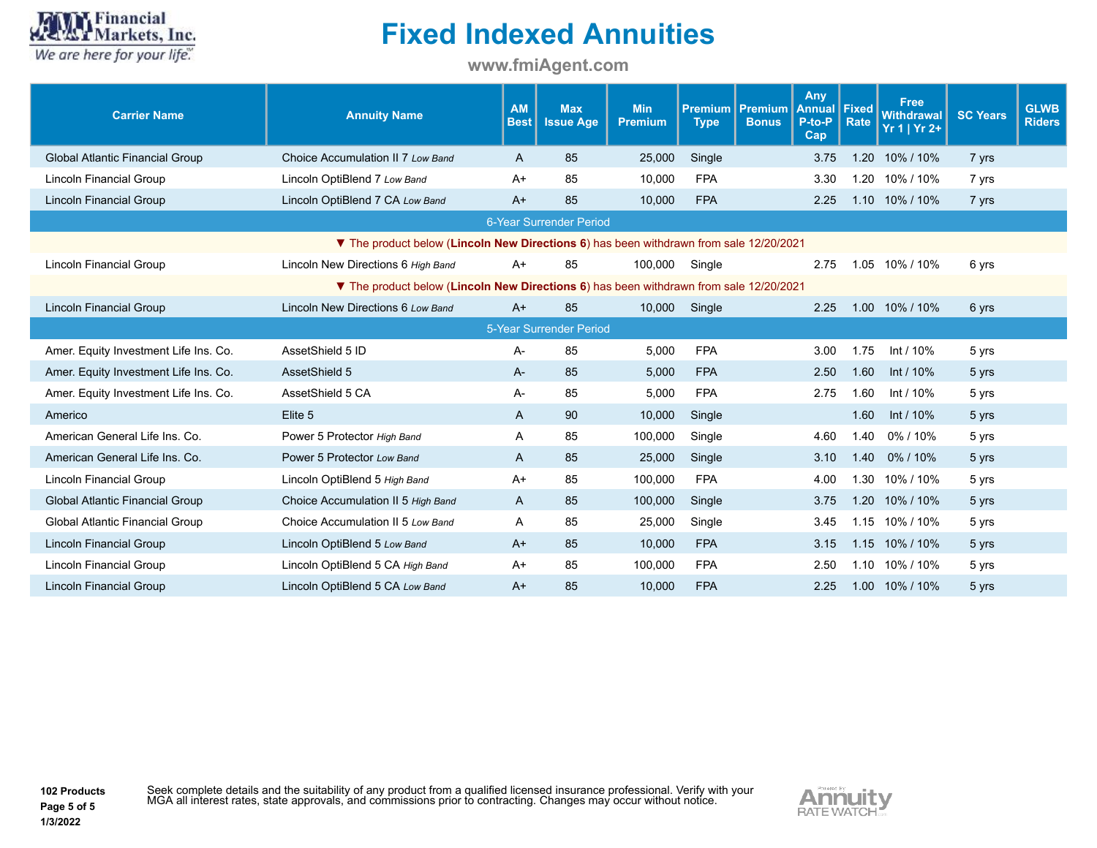

**1/3/2022**

# **Fixed Indexed Annuities**

**www.fmiAgent.com**

| <b>Carrier Name</b>                    | <b>Annuity Name</b>                                                                  | AM<br><b>Best</b> | <b>Max</b><br><b>Issue Age</b> | <b>Min</b><br><b>Premium</b> | <b>Type</b> | <b>Premium   Premium  </b><br><b>Bonus</b> | Any<br><b>Annual</b><br>P-to-P<br>Cap | <b>Fixed</b><br><b>Rate</b> | <b>Free</b><br><b>Withdrawal</b><br>$Yr 1   Yr 2+$ | <b>SC Years</b> | <b>GLWB</b><br><b>Riders</b> |
|----------------------------------------|--------------------------------------------------------------------------------------|-------------------|--------------------------------|------------------------------|-------------|--------------------------------------------|---------------------------------------|-----------------------------|----------------------------------------------------|-----------------|------------------------------|
| <b>Global Atlantic Financial Group</b> | Choice Accumulation II 7 Low Band                                                    | A                 | 85                             | 25,000                       | Single      |                                            | 3.75                                  |                             | 1.20 10% / 10%                                     | 7 yrs           |                              |
| Lincoln Financial Group                | Lincoln OptiBlend 7 Low Band                                                         | $A+$              | 85                             | 10,000                       | <b>FPA</b>  |                                            | 3.30                                  |                             | 1.20 10% / 10%                                     | 7 yrs           |                              |
| Lincoln Financial Group                | Lincoln OptiBlend 7 CA Low Band                                                      | $A+$              | 85                             | 10,000                       | <b>FPA</b>  |                                            | 2.25                                  |                             | 1.10 10% / 10%                                     | 7 yrs           |                              |
|                                        |                                                                                      |                   | 6-Year Surrender Period        |                              |             |                                            |                                       |                             |                                                    |                 |                              |
|                                        | The product below (Lincoln New Directions 6) has been withdrawn from sale 12/20/2021 |                   |                                |                              |             |                                            |                                       |                             |                                                    |                 |                              |
| <b>Lincoln Financial Group</b>         | Lincoln New Directions 6 High Band                                                   | $A+$              | 85                             | 100,000                      | Single      |                                            | 2.75                                  |                             | 1.05 10% / 10%                                     | 6 yrs           |                              |
|                                        | The product below (Lincoln New Directions 6) has been withdrawn from sale 12/20/2021 |                   |                                |                              |             |                                            |                                       |                             |                                                    |                 |                              |
| Lincoln Financial Group                | Lincoln New Directions 6 Low Band                                                    | $A+$              | 85                             | 10,000                       | Single      |                                            | 2.25                                  |                             | 1.00 10% / 10%                                     | 6 yrs           |                              |
|                                        |                                                                                      |                   | 5-Year Surrender Period        |                              |             |                                            |                                       |                             |                                                    |                 |                              |
| Amer. Equity Investment Life Ins. Co.  | AssetShield 5 ID                                                                     | $A -$             | 85                             | 5,000                        | <b>FPA</b>  |                                            | 3.00                                  | 1.75                        | Int / 10%                                          | 5 yrs           |                              |
| Amer. Equity Investment Life Ins. Co.  | AssetShield 5                                                                        | $A-$              | 85                             | 5,000                        | <b>FPA</b>  |                                            | 2.50                                  | 1.60                        | Int / $10\%$                                       | 5 yrs           |                              |
| Amer. Equity Investment Life Ins. Co.  | AssetShield 5 CA                                                                     | A-                | 85                             | 5,000                        | <b>FPA</b>  |                                            | 2.75                                  | 1.60                        | Int / $10\%$                                       | 5 yrs           |                              |
| Americo                                | Elite 5                                                                              | A                 | 90                             | 10,000                       | Single      |                                            |                                       | 1.60                        | Int / 10%                                          | 5 yrs           |                              |
| American General Life Ins. Co.         | Power 5 Protector High Band                                                          | A                 | 85                             | 100,000                      | Single      |                                            | 4.60                                  | 1.40                        | 0%/10%                                             | 5 yrs           |                              |
| American General Life Ins. Co.         | Power 5 Protector Low Band                                                           | A                 | 85                             | 25,000                       | Single      |                                            | 3.10                                  |                             | 1.40 0%/10%                                        | 5 yrs           |                              |
| Lincoln Financial Group                | Lincoln OptiBlend 5 High Band                                                        | $A+$              | 85                             | 100,000                      | <b>FPA</b>  |                                            | 4.00                                  | 1.30                        | 10% / 10%                                          | 5 yrs           |                              |
| <b>Global Atlantic Financial Group</b> | Choice Accumulation II 5 High Band                                                   | A                 | 85                             | 100,000                      | Single      |                                            | 3.75                                  |                             | 1.20 10% / 10%                                     | 5 yrs           |                              |
| Global Atlantic Financial Group        | Choice Accumulation II 5 Low Band                                                    | A                 | 85                             | 25,000                       | Single      |                                            | 3.45                                  |                             | 1.15 10% / 10%                                     | 5 yrs           |                              |
| Lincoln Financial Group                | Lincoln OptiBlend 5 Low Band                                                         | $A+$              | 85                             | 10,000                       | <b>FPA</b>  |                                            | 3.15                                  |                             | 1.15 10% / 10%                                     | 5 yrs           |                              |
| Lincoln Financial Group                | Lincoln OptiBlend 5 CA High Band                                                     | $A+$              | 85                             | 100,000                      | <b>FPA</b>  |                                            | 2.50                                  |                             | 1.10 10% / 10%                                     | 5 yrs           |                              |
| <b>Lincoln Financial Group</b>         | Lincoln OptiBlend 5 CA Low Band                                                      | $A+$              | 85                             | 10,000                       | <b>FPA</b>  |                                            | 2.25                                  |                             | 1.00 10% / 10%                                     | 5 yrs           |                              |